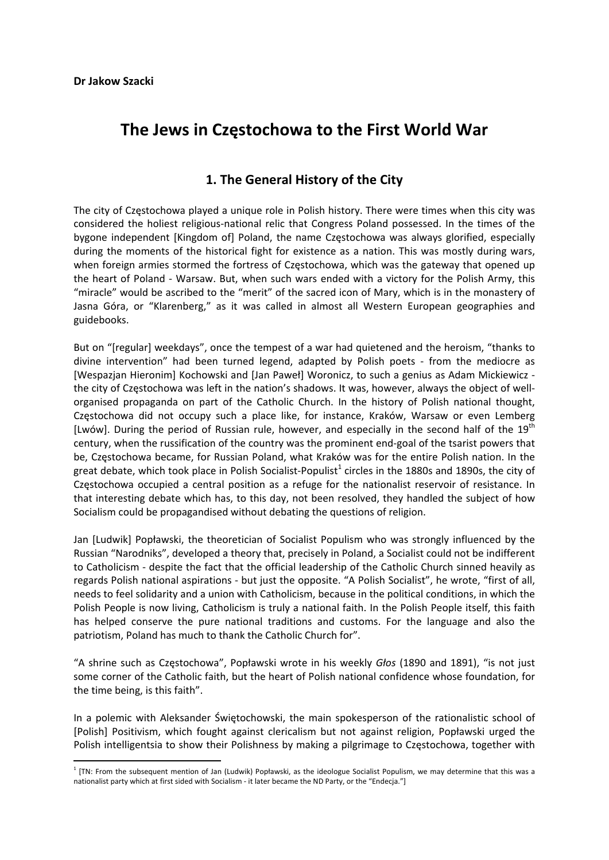# **The Jews in Częstochowa to the First World War**

## **1. The General History of the City**

The city of Częstochowa played a unique role in Polish history. There were times when this city was considered the holiest religious‐national relic that Congress Poland possessed. In the times of the bygone independent [Kingdom of] Poland, the name Częstochowa was always glorified, especially during the moments of the historical fight for existence as a nation. This was mostly during wars, when foreign armies stormed the fortress of Częstochowa, which was the gateway that opened up the heart of Poland - Warsaw. But, when such wars ended with a victory for the Polish Army, this "miracle" would be ascribed to the "merit" of the sacred icon of Mary, which is in the monastery of Jasna Góra, or "Klarenberg," as it was called in almost all Western European geographies and guidebooks.

But on "[regular] weekdays", once the tempest of a war had quietened and the heroism, "thanks to divine intervention" had been turned legend, adapted by Polish poets ‐ from the mediocre as [Wespazjan Hieronim] Kochowski and [Jan Paweł] Woronicz, to such a genius as Adam Mickiewicz ‐ the city of Częstochowa was left in the nation's shadows. It was, however, always the object of well‐ organised propaganda on part of the Catholic Church. In the history of Polish national thought, Częstochowa did not occupy such a place like, for instance, Kraków, Warsaw or even Lemberg [Lwów]. During the period of Russian rule, however, and especially in the second half of the 19<sup>th</sup> century, when the russification of the country was the prominent end‐goal of the tsarist powers that be, Częstochowa became, for Russian Poland, what Kraków was for the entire Polish nation. In the great debate, which took place in Polish Socialist-Populist<sup>1</sup> circles in the 1880s and 1890s, the city of Częstochowa occupied a central position as a refuge for the nationalist reservoir of resistance. In that interesting debate which has, to this day, not been resolved, they handled the subject of how Socialism could be propagandised without debating the questions of religion.

Jan [Ludwik] Popławski, the theoretician of Socialist Populism who was strongly influenced by the Russian "Narodniks", developed a theory that, precisely in Poland, a Socialist could not be indifferent to Catholicism ‐ despite the fact that the official leadership of the Catholic Church sinned heavily as regards Polish national aspirations ‐ but just the opposite. "A Polish Socialist", he wrote, "first of all, needs to feel solidarity and a union with Catholicism, because in the political conditions, in which the Polish People is now living, Catholicism is truly a national faith. In the Polish People itself, this faith has helped conserve the pure national traditions and customs. For the language and also the patriotism, Poland has much to thank the Catholic Church for".

"A shrine such as Częstochowa", Popławski wrote in his weekly *Głos* (1890 and 1891), "is not just some corner of the Catholic faith, but the heart of Polish national confidence whose foundation, for the time being, is this faith".

In a polemic with Aleksander Świętochowski, the main spokesperson of the rationalistic school of [Polish] Positivism, which fought against clericalism but not against religion, Popławski urged the Polish intelligentsia to show their Polishness by making a pilgrimage to Częstochowa, together with

 $1$  [TN: From the subsequent mention of Jan (Ludwik) Popławski, as the ideologue Socialist Populism, we may determine that this was a nationalist party which at first sided with Socialism ‐ it later became the ND Party, or the "Endecja."]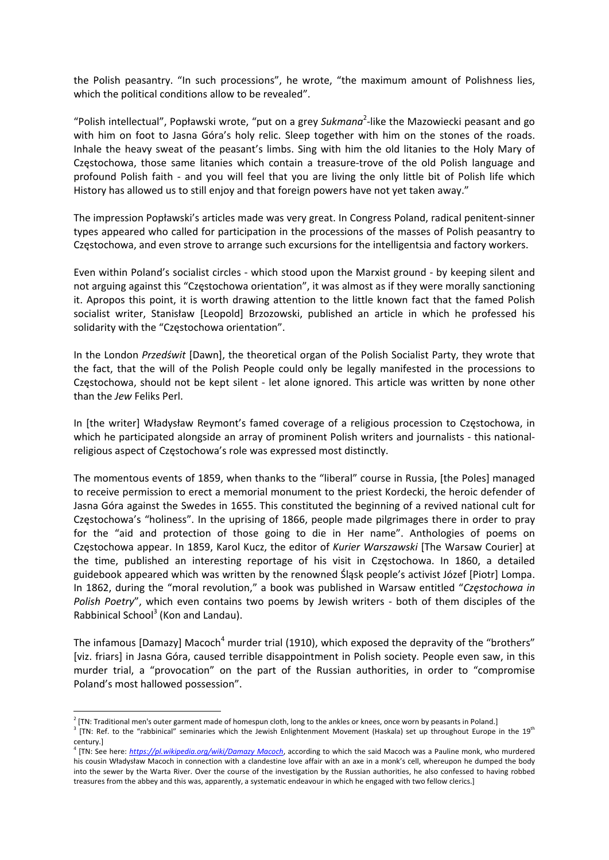the Polish peasantry. "In such processions", he wrote, "the maximum amount of Polishness lies, which the political conditions allow to be revealed".

"Polish intellectual", Popławski wrote, "put on a grey Sukmana<sup>2</sup>-like the Mazowiecki peasant and go with him on foot to Jasna Góra's holy relic. Sleep together with him on the stones of the roads. Inhale the heavy sweat of the peasant's limbs. Sing with him the old litanies to the Holy Mary of Częstochowa, those same litanies which contain a treasure‐trove of the old Polish language and profound Polish faith - and you will feel that you are living the only little bit of Polish life which History has allowed us to still enjoy and that foreign powers have not yet taken away."

The impression Popławski's articles made was very great. In Congress Poland, radical penitent‐sinner types appeared who called for participation in the processions of the masses of Polish peasantry to Częstochowa, and even strove to arrange such excursions for the intelligentsia and factory workers.

Even within Poland's socialist circles ‐ which stood upon the Marxist ground ‐ by keeping silent and not arguing against this "Częstochowa orientation", it was almost as if they were morally sanctioning it. Apropos this point, it is worth drawing attention to the little known fact that the famed Polish socialist writer, Stanisław [Leopold] Brzozowski, published an article in which he professed his solidarity with the "Częstochowa orientation".

In the London *Przedświt* [Dawn], the theoretical organ of the Polish Socialist Party, they wrote that the fact, that the will of the Polish People could only be legally manifested in the processions to Częstochowa, should not be kept silent ‐ let alone ignored. This article was written by none other than the *Jew* Feliks Perl.

In [the writer] Władysław Reymont's famed coverage of a religious procession to Częstochowa, in which he participated alongside an array of prominent Polish writers and journalists - this nationalreligious aspect of Częstochowa's role was expressed most distinctly.

The momentous events of 1859, when thanks to the "liberal" course in Russia, [the Poles] managed to receive permission to erect a memorial monument to the priest Kordecki, the heroic defender of Jasna Góra against the Swedes in 1655. This constituted the beginning of a revived national cult for Częstochowa's "holiness". In the uprising of 1866, people made pilgrimages there in order to pray for the "aid and protection of those going to die in Her name". Anthologies of poems on Częstochowa appear. In 1859, Karol Kucz, the editor of *Kurier Warszawski* [The Warsaw Courier] at the time, published an interesting reportage of his visit in Częstochowa. In 1860, a detailed guidebook appeared which was written by the renowned Śląsk people's activist Józef [Piotr] Lompa. In 1862, during the "moral revolution," a book was published in Warsaw entitled "*Częstochowa in Polish Poetry"*, which even contains two poems by Jewish writers - both of them disciples of the Rabbinical School<sup>3</sup> (Kon and Landau).

The infamous [Damazy] Macoch<sup>4</sup> murder trial (1910), which exposed the depravity of the "brothers" [viz. friars] in Jasna Góra, caused terrible disappointment in Polish society. People even saw, in this murder trial, a "provocation" on the part of the Russian authorities, in order to "compromise Poland's most hallowed possession".

 $2$  [TN: Traditional men's outer garment made of homespun cloth, long to the ankles or knees, once worn by peasants in Poland.]

<sup>&</sup>lt;sup>3</sup> [TN: Ref. to the "rabbinical" seminaries which the Jewish Enlightenment Movement (Haskala) set up throughout Europe in the 19<sup>th</sup> century.]

<sup>4</sup> [TN: See here: *https://pl.wikipedia.org/wiki/Damazy Macoch*, according to which the said Macoch was a Pauline monk, who murdered his cousin Władysław Macoch in connection with a clandestine love affair with an axe in a monk's cell, whereupon he dumped the body into the sewer by the Warta River. Over the course of the investigation by the Russian authorities, he also confessed to having robbed treasures from the abbey and this was, apparently, a systematic endeavour in which he engaged with two fellow clerics.]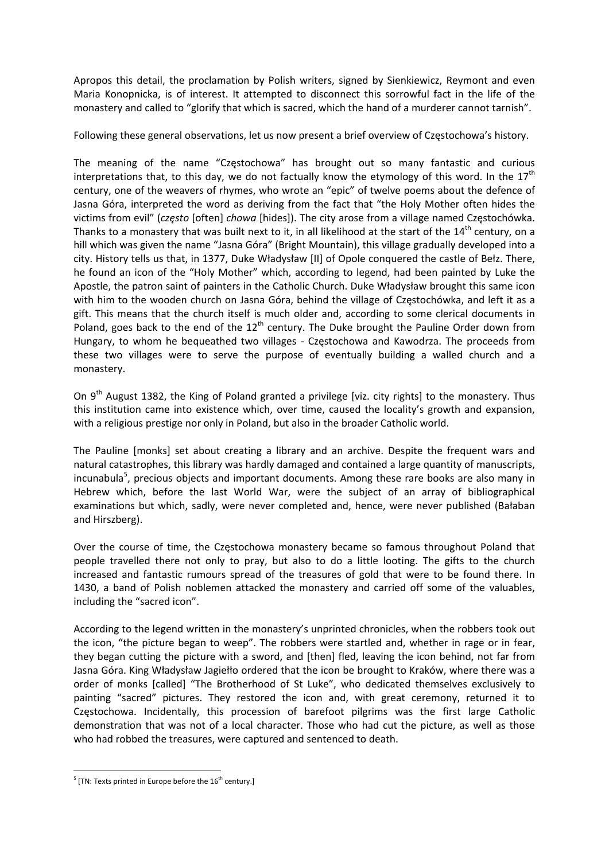Apropos this detail, the proclamation by Polish writers, signed by Sienkiewicz, Reymont and even Maria Konopnicka, is of interest. It attempted to disconnect this sorrowful fact in the life of the monastery and called to "glorify that which is sacred, which the hand of a murderer cannot tarnish".

Following these general observations, let us now present a brief overview of Częstochowa's history.

The meaning of the name "Częstochowa" has brought out so many fantastic and curious interpretations that, to this day, we do not factually know the etymology of this word. In the  $17<sup>th</sup>$ century, one of the weavers of rhymes, who wrote an "epic" of twelve poems about the defence of Jasna Góra, interpreted the word as deriving from the fact that "the Holy Mother often hides the victims from evil" (*często* [often] *chowa* [hides]). The city arose from a village named Częstochówka. Thanks to a monastery that was built next to it, in all likelihood at the start of the 14<sup>th</sup> century, on a hill which was given the name "Jasna Góra" (Bright Mountain), this village gradually developed into a city. History tells us that, in 1377, Duke Władysław [II] of Opole conquered the castle of Bełz. There, he found an icon of the "Holy Mother" which, according to legend, had been painted by Luke the Apostle, the patron saint of painters in the Catholic Church. Duke Władysław brought this same icon with him to the wooden church on Jasna Góra, behind the village of Częstochówka, and left it as a gift. This means that the church itself is much older and, according to some clerical documents in Poland, goes back to the end of the  $12<sup>th</sup>$  century. The Duke brought the Pauline Order down from Hungary, to whom he bequeathed two villages ‐ Częstochowa and Kawodrza. The proceeds from these two villages were to serve the purpose of eventually building a walled church and a monastery.

On 9<sup>th</sup> August 1382, the King of Poland granted a privilege [viz. city rights] to the monastery. Thus this institution came into existence which, over time, caused the locality's growth and expansion, with a religious prestige nor only in Poland, but also in the broader Catholic world.

The Pauline [monks] set about creating a library and an archive. Despite the frequent wars and natural catastrophes, this library was hardly damaged and contained a large quantity of manuscripts, incunabula<sup>5</sup>, precious objects and important documents. Among these rare books are also many in Hebrew which, before the last World War, were the subject of an array of bibliographical examinations but which, sadly, were never completed and, hence, were never published (Bałaban and Hirszberg).

Over the course of time, the Częstochowa monastery became so famous throughout Poland that people travelled there not only to pray, but also to do a little looting. The gifts to the church increased and fantastic rumours spread of the treasures of gold that were to be found there. In 1430, a band of Polish noblemen attacked the monastery and carried off some of the valuables, including the "sacred icon".

According to the legend written in the monastery's unprinted chronicles, when the robbers took out the icon, "the picture began to weep". The robbers were startled and, whether in rage or in fear, they began cutting the picture with a sword, and [then] fled, leaving the icon behind, not far from Jasna Góra. King Władysław Jagiełło ordered that the icon be brought to Kraków, where there was a order of monks [called] "The Brotherhood of St Luke", who dedicated themselves exclusively to painting "sacred" pictures. They restored the icon and, with great ceremony, returned it to Częstochowa. Incidentally, this procession of barefoot pilgrims was the first large Catholic demonstration that was not of a local character. Those who had cut the picture, as well as those who had robbed the treasures, were captured and sentenced to death.

 $<sup>5</sup>$  [TN: Texts printed in Europe before the 16<sup>th</sup> century.]</sup>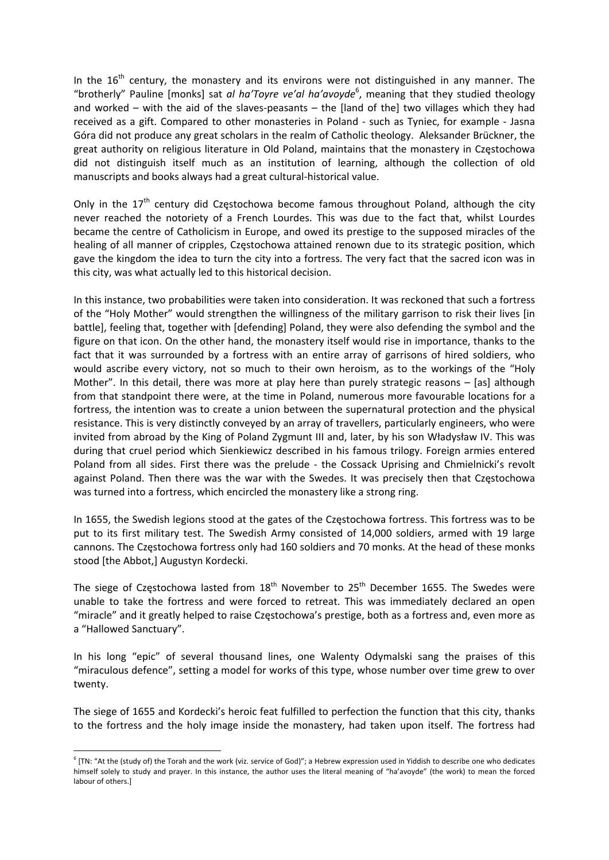In the  $16<sup>th</sup>$  century, the monastery and its environs were not distinguished in any manner. The "brotherly" Pauline [monks] sat *al ha'Toyre ve'al ha'avoyde*<sup>6</sup>, meaning that they studied theology and worked – with the aid of the slaves‐peasants – the [land of the] two villages which they had received as a gift. Compared to other monasteries in Poland - such as Tyniec, for example - Jasna Góra did not produce any great scholars in the realm of Catholic theology. Aleksander Brückner, the great authority on religious literature in Old Poland, maintains that the monastery in Częstochowa did not distinguish itself much as an institution of learning, although the collection of old manuscripts and books always had a great cultural‐historical value.

Only in the  $17<sup>th</sup>$  century did Częstochowa become famous throughout Poland, although the city never reached the notoriety of a French Lourdes. This was due to the fact that, whilst Lourdes became the centre of Catholicism in Europe, and owed its prestige to the supposed miracles of the healing of all manner of cripples, Częstochowa attained renown due to its strategic position, which gave the kingdom the idea to turn the city into a fortress. The very fact that the sacred icon was in this city, was what actually led to this historical decision.

In this instance, two probabilities were taken into consideration. It was reckoned that such a fortress of the "Holy Mother" would strengthen the willingness of the military garrison to risk their lives [in battle], feeling that, together with [defending] Poland, they were also defending the symbol and the figure on that icon. On the other hand, the monastery itself would rise in importance, thanks to the fact that it was surrounded by a fortress with an entire array of garrisons of hired soldiers, who would ascribe every victory, not so much to their own heroism, as to the workings of the "Holy Mother". In this detail, there was more at play here than purely strategic reasons – [as] although from that standpoint there were, at the time in Poland, numerous more favourable locations for a fortress, the intention was to create a union between the supernatural protection and the physical resistance. This is very distinctly conveyed by an array of travellers, particularly engineers, who were invited from abroad by the King of Poland Zygmunt III and, later, by his son Władysław IV. This was during that cruel period which Sienkiewicz described in his famous trilogy. Foreign armies entered Poland from all sides. First there was the prelude - the Cossack Uprising and Chmielnicki's revolt against Poland. Then there was the war with the Swedes. It was precisely then that Częstochowa was turned into a fortress, which encircled the monastery like a strong ring.

In 1655, the Swedish legions stood at the gates of the Częstochowa fortress. This fortress was to be put to its first military test. The Swedish Army consisted of 14,000 soldiers, armed with 19 large cannons. The Częstochowa fortress only had 160 soldiers and 70 monks. At the head of these monks stood [the Abbot,] Augustyn Kordecki.

The siege of Częstochowa lasted from  $18<sup>th</sup>$  November to  $25<sup>th</sup>$  December 1655. The Swedes were unable to take the fortress and were forced to retreat. This was immediately declared an open "miracle" and it greatly helped to raise Częstochowa's prestige, both as a fortress and, even more as a "Hallowed Sanctuary".

In his long "epic" of several thousand lines, one Walenty Odymalski sang the praises of this "miraculous defence", setting a model for works of this type, whose number over time grew to over twenty.

The siege of 1655 and Kordecki's heroic feat fulfilled to perfection the function that this city, thanks to the fortress and the holy image inside the monastery, had taken upon itself. The fortress had

 $6$  [TN: "At the (study of) the Torah and the work (viz. service of God)"; a Hebrew expression used in Yiddish to describe one who dedicates himself solely to study and prayer. In this instance, the author uses the literal meaning of "ha'avoyde" (the work) to mean the forced labour of others.]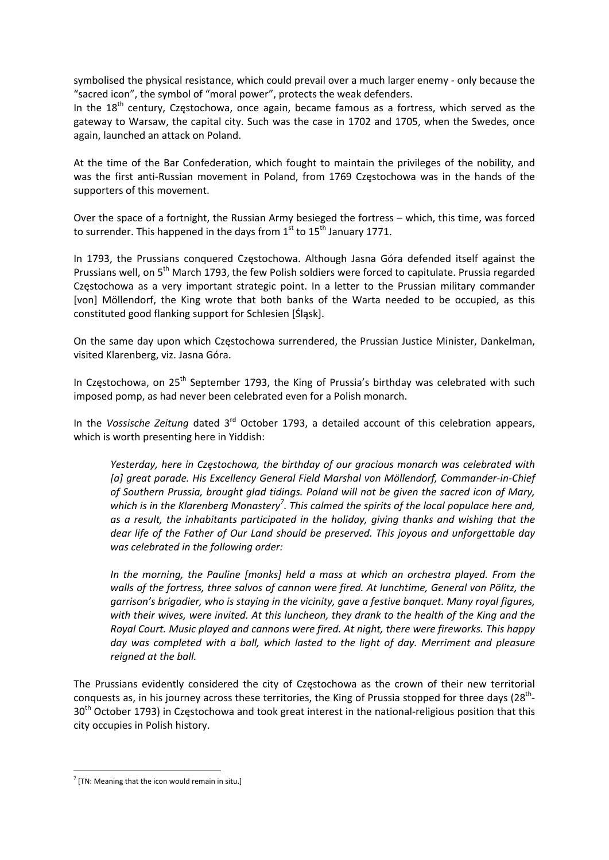symbolised the physical resistance, which could prevail over a much larger enemy - only because the "sacred icon", the symbol of "moral power", protects the weak defenders.

In the  $18<sup>th</sup>$  century, Częstochowa, once again, became famous as a fortress, which served as the gateway to Warsaw, the capital city. Such was the case in 1702 and 1705, when the Swedes, once again, launched an attack on Poland.

At the time of the Bar Confederation, which fought to maintain the privileges of the nobility, and was the first anti-Russian movement in Poland, from 1769 Częstochowa was in the hands of the supporters of this movement.

Over the space of a fortnight, the Russian Army besieged the fortress – which, this time, was forced to surrender. This happened in the days from  $1^{st}$  to  $15^{th}$  January 1771.

In 1793, the Prussians conquered Częstochowa. Although Jasna Góra defended itself against the Prussians well, on 5<sup>th</sup> March 1793, the few Polish soldiers were forced to capitulate. Prussia regarded Częstochowa as a very important strategic point. In a letter to the Prussian military commander [von] Möllendorf, the King wrote that both banks of the Warta needed to be occupied, as this constituted good flanking support for Schlesien [Śląsk].

On the same day upon which Częstochowa surrendered, the Prussian Justice Minister, Dankelman, visited Klarenberg, viz. Jasna Góra.

In Częstochowa, on 25<sup>th</sup> September 1793, the King of Prussia's birthday was celebrated with such imposed pomp, as had never been celebrated even for a Polish monarch.

In the *Vossische Zeitung* dated 3rd October 1793, a detailed account of this celebration appears, which is worth presenting here in Yiddish:

*Yesterday, here in Częstochowa, the birthday of our gracious monarch was celebrated with [a] great parade. His Excellency General Field Marshal von Möllendorf, Commander‐in‐Chief of Southern Prussia, brought glad tidings. Poland will not be given the sacred icon of Mary, which is in the Klarenberg Monastery<sup>7</sup> . This calmed the spirits of the local populace here and, as a result, the inhabitants participated in the holiday, giving thanks and wishing that the dear life of the Father of Our Land should be preserved. This joyous and unforgettable day was celebrated in the following order:*

*In the morning, the Pauline [monks] held a mass at which an orchestra played. From the walls of the fortress, three salvos of cannon were fired. At lunchtime, General von Pölitz, the garrison's brigadier, who is staying in the vicinity, gave a festive banquet. Many royal figures, with their wives, were invited. At this luncheon, they drank to the health of the King and the Royal Court. Music played and cannons were fired. At night, there were fireworks. This happy day was completed with a ball, which lasted to the light of day. Merriment and pleasure reigned at the ball.*

The Prussians evidently considered the city of Częstochowa as the crown of their new territorial conquests as, in his journey across these territories, the King of Prussia stopped for three days ( $28<sup>th</sup>$ -30<sup>th</sup> October 1793) in Częstochowa and took great interest in the national-religious position that this city occupies in Polish history.

 $7$  [TN: Meaning that the icon would remain in situ.]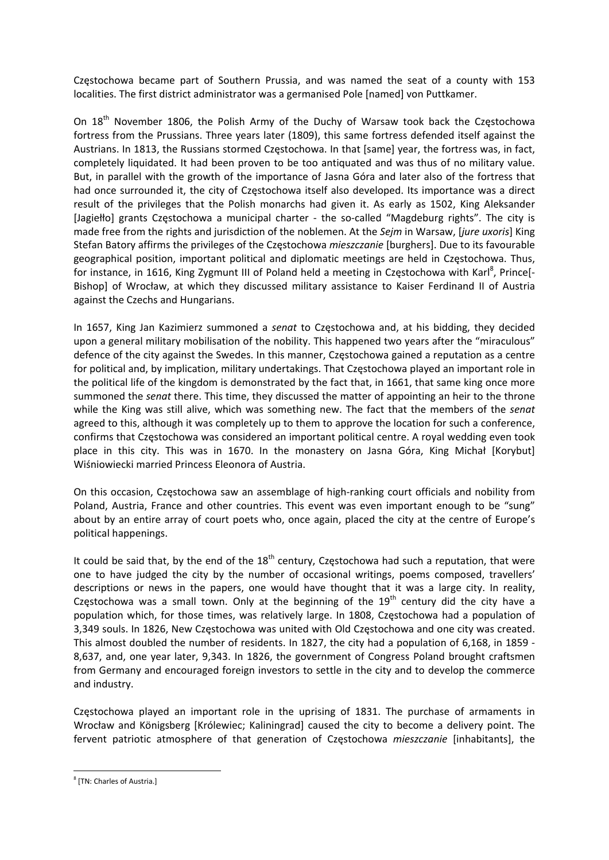Częstochowa became part of Southern Prussia, and was named the seat of a county with 153 localities. The first district administrator was a germanised Pole [named] von Puttkamer.

On 18<sup>th</sup> November 1806, the Polish Army of the Duchy of Warsaw took back the Częstochowa fortress from the Prussians. Three years later (1809), this same fortress defended itself against the Austrians. In 1813, the Russians stormed Częstochowa. In that [same] year, the fortress was, in fact, completely liquidated. It had been proven to be too antiquated and was thus of no military value. But, in parallel with the growth of the importance of Jasna Góra and later also of the fortress that had once surrounded it, the city of Częstochowa itself also developed. Its importance was a direct result of the privileges that the Polish monarchs had given it. As early as 1502, King Aleksander [Jagiełło] grants Częstochowa a municipal charter - the so-called "Magdeburg rights". The city is made free from the rights and jurisdiction of the noblemen. At the *Sejm* in Warsaw, [*jure uxoris*] King Stefan Batory affirms the privileges of the Częstochowa *mieszczanie* [burghers]. Due to its favourable geographical position, important political and diplomatic meetings are held in Częstochowa. Thus, for instance, in 1616, King Zygmunt III of Poland held a meeting in Częstochowa with Karl<sup>8</sup>, Prince[-Bishop] of Wrocław, at which they discussed military assistance to Kaiser Ferdinand II of Austria against the Czechs and Hungarians.

In 1657, King Jan Kazimierz summoned a *senat* to Częstochowa and, at his bidding, they decided upon a general military mobilisation of the nobility. This happened two years after the "miraculous" defence of the city against the Swedes. In this manner, Częstochowa gained a reputation as a centre for political and, by implication, military undertakings. That Częstochowa played an important role in the political life of the kingdom is demonstrated by the fact that, in 1661, that same king once more summoned the *senat* there. This time, they discussed the matter of appointing an heir to the throne while the King was still alive, which was something new. The fact that the members of the *senat* agreed to this, although it was completely up to them to approve the location for such a conference, confirms that Częstochowa was considered an important political centre. A royal wedding even took place in this city. This was in 1670. In the monastery on Jasna Góra, King Michał [Korybut] Wiśniowiecki married Princess Eleonora of Austria.

On this occasion, Częstochowa saw an assemblage of high‐ranking court officials and nobility from Poland, Austria, France and other countries. This event was even important enough to be "sung" about by an entire array of court poets who, once again, placed the city at the centre of Europe's political happenings.

It could be said that, by the end of the  $18<sup>th</sup>$  century, Częstochowa had such a reputation, that were one to have judged the city by the number of occasional writings, poems composed, travellers' descriptions or news in the papers, one would have thought that it was a large city. In reality, Częstochowa was a small town. Only at the beginning of the  $19<sup>th</sup>$  century did the city have a population which, for those times, was relatively large. In 1808, Częstochowa had a population of 3,349 souls. In 1826, New Częstochowa was united with Old Częstochowa and one city was created. This almost doubled the number of residents. In 1827, the city had a population of 6,168, in 1859 ‐ 8,637, and, one year later, 9,343. In 1826, the government of Congress Poland brought craftsmen from Germany and encouraged foreign investors to settle in the city and to develop the commerce and industry.

Częstochowa played an important role in the uprising of 1831. The purchase of armaments in Wrocław and Königsberg [Królewiec; Kaliningrad] caused the city to become a delivery point. The fervent patriotic atmosphere of that generation of Częstochowa *mieszczanie* [inhabitants], the

<sup>8</sup> [TN: Charles of Austria.]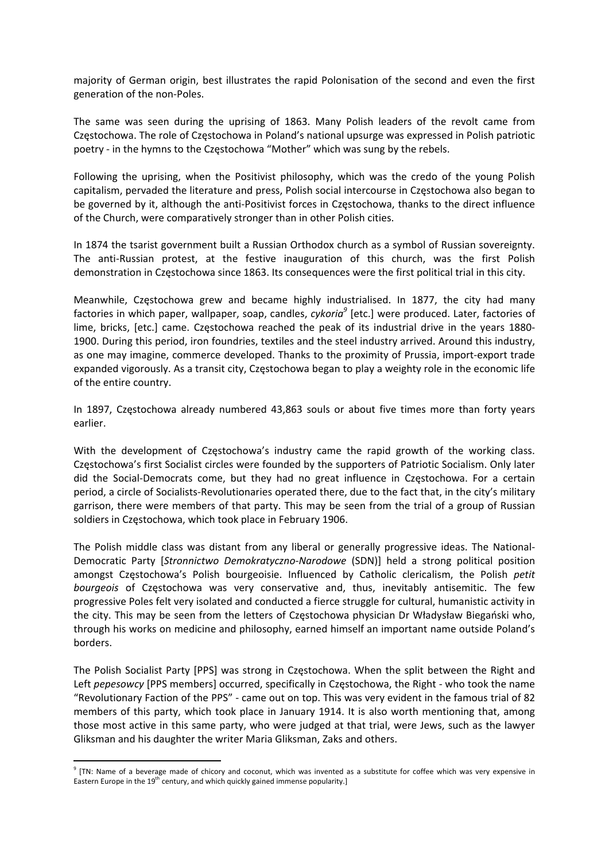majority of German origin, best illustrates the rapid Polonisation of the second and even the first generation of the non‐Poles.

The same was seen during the uprising of 1863. Many Polish leaders of the revolt came from Częstochowa. The role of Częstochowa in Poland's national upsurge was expressed in Polish patriotic poetry ‐ in the hymns to the Częstochowa "Mother" which was sung by the rebels.

Following the uprising, when the Positivist philosophy, which was the credo of the young Polish capitalism, pervaded the literature and press, Polish social intercourse in Częstochowa also began to be governed by it, although the anti‐Positivist forces in Częstochowa, thanks to the direct influence of the Church, were comparatively stronger than in other Polish cities.

In 1874 the tsarist government built a Russian Orthodox church as a symbol of Russian sovereignty. The anti-Russian protest, at the festive inauguration of this church, was the first Polish demonstration in Częstochowa since 1863. Its consequences were the first political trial in this city.

Meanwhile, Częstochowa grew and became highly industrialised. In 1877, the city had many factories in which paper, wallpaper, soap, candles, *cykoria<sup>9</sup>* [etc.] were produced. Later, factories of lime, bricks, [etc.] came. Częstochowa reached the peak of its industrial drive in the years 1880‐ 1900. During this period, iron foundries, textiles and the steel industry arrived. Around this industry, as one may imagine, commerce developed. Thanks to the proximity of Prussia, import‐export trade expanded vigorously. As a transit city, Częstochowa began to play a weighty role in the economic life of the entire country.

In 1897, Częstochowa already numbered 43,863 souls or about five times more than forty years earlier.

With the development of Częstochowa's industry came the rapid growth of the working class. Częstochowa's first Socialist circles were founded by the supporters of Patriotic Socialism. Only later did the Social‐Democrats come, but they had no great influence in Częstochowa. For a certain period, a circle of Socialists‐Revolutionaries operated there, due to the fact that, in the city's military garrison, there were members of that party. This may be seen from the trial of a group of Russian soldiers in Częstochowa, which took place in February 1906.

The Polish middle class was distant from any liberal or generally progressive ideas. The National‐ Democratic Party [*Stronnictwo Demokratyczno‐Narodowe* (SDN)] held a strong political position amongst Częstochowa's Polish bourgeoisie. Influenced by Catholic clericalism, the Polish *petit bourgeois* of Częstochowa was very conservative and, thus, inevitably antisemitic. The few progressive Poles felt very isolated and conducted a fierce struggle for cultural, humanistic activity in the city. This may be seen from the letters of Częstochowa physician Dr Władysław Biegański who, through his works on medicine and philosophy, earned himself an important name outside Poland's borders.

The Polish Socialist Party [PPS] was strong in Częstochowa. When the split between the Right and Left *pepesowcy* [PPS members] occurred, specifically in Częstochowa, the Right ‐ who took the name "Revolutionary Faction of the PPS" ‐ came out on top. This was very evident in the famous trial of 82 members of this party, which took place in January 1914. It is also worth mentioning that, among those most active in this same party, who were judged at that trial, were Jews, such as the lawyer Gliksman and his daughter the writer Maria Gliksman, Zaks and others.

 $9$  [TN: Name of a beverage made of chicory and coconut, which was invented as a substitute for coffee which was very expensive in Eastern Europe in the  $19<sup>th</sup>$  century, and which quickly gained immense popularity.]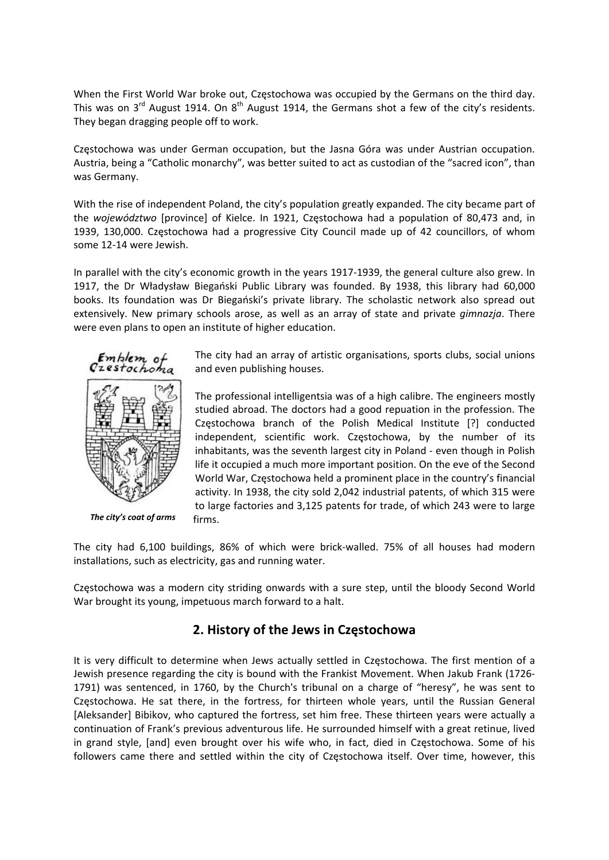When the First World War broke out, Częstochowa was occupied by the Germans on the third day. This was on  $3^{rd}$  August 1914. On  $8^{th}$  August 1914, the Germans shot a few of the city's residents. They began dragging people off to work.

Częstochowa was under German occupation, but the Jasna Góra was under Austrian occupation. Austria, being a "Catholic monarchy", was better suited to act as custodian of the "sacred icon", than was Germany.

With the rise of independent Poland, the city's population greatly expanded. The city became part of the *województwo* [province] of Kielce. In 1921, Częstochowa had a population of 80,473 and, in 1939, 130,000. Częstochowa had a progressive City Council made up of 42 councillors, of whom some 12‐14 were Jewish.

In parallel with the city's economic growth in the years 1917‐1939, the general culture also grew. In 1917, the Dr Władysław Biegański Public Library was founded. By 1938, this library had 60,000 books. Its foundation was Dr Biegański's private library. The scholastic network also spread out extensively. New primary schools arose, as well as an array of state and private *gimnazja*. There were even plans to open an institute of higher education.



*The city's coat of arms*

The city had an array of artistic organisations, sports clubs, social unions and even publishing houses.

The professional intelligentsia was of a high calibre. The engineers mostly studied abroad. The doctors had a good repuation in the profession. The Częstochowa branch of the Polish Medical Institute [?] conducted independent, scientific work. Częstochowa, by the number of its inhabitants, was the seventh largest city in Poland ‐ even though in Polish life it occupied a much more important position. On the eve of the Second World War, Częstochowa held a prominent place in the country's financial activity. In 1938, the city sold 2,042 industrial patents, of which 315 were to large factories and 3,125 patents for trade, of which 243 were to large firms.

The city had 6,100 buildings, 86% of which were brick‐walled. 75% of all houses had modern installations, such as electricity, gas and running water.

Częstochowa was a modern city striding onwards with a sure step, until the bloody Second World War brought its young, impetuous march forward to a halt.

## **2. History of the Jews in Częstochowa**

It is very difficult to determine when Jews actually settled in Częstochowa. The first mention of a Jewish presence regarding the city is bound with the Frankist Movement. When Jakub Frank (1726‐ 1791) was sentenced, in 1760, by the Church's tribunal on a charge of "heresy", he was sent to Częstochowa. He sat there, in the fortress, for thirteen whole years, until the Russian General [Aleksander] Bibikov, who captured the fortress, set him free. These thirteen years were actually a continuation of Frank's previous adventurous life. He surrounded himself with a great retinue, lived in grand style, [and] even brought over his wife who, in fact, died in Częstochowa. Some of his followers came there and settled within the city of Częstochowa itself. Over time, however, this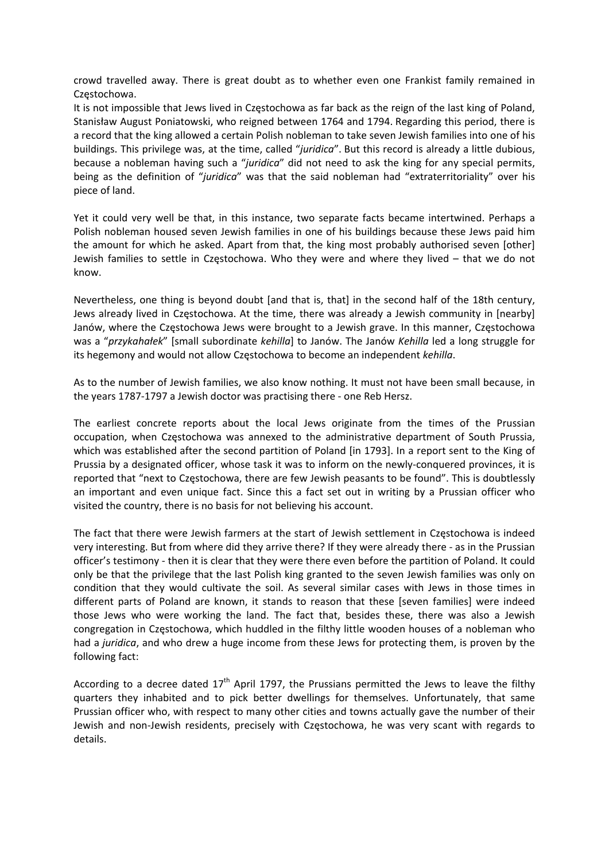crowd travelled away. There is great doubt as to whether even one Frankist family remained in Częstochowa.

It is not impossible that Jews lived in Częstochowa as far back as the reign of the last king of Poland, Stanisław August Poniatowski, who reigned between 1764 and 1794. Regarding this period, there is a record that the king allowed a certain Polish nobleman to take seven Jewish families into one of his buildings. This privilege was, at the time, called "*juridica*". But this record is already a little dubious, because a nobleman having such a "*juridica*" did not need to ask the king for any special permits, being as the definition of "*juridica*" was that the said nobleman had "extraterritoriality" over his piece of land.

Yet it could very well be that, in this instance, two separate facts became intertwined. Perhaps a Polish nobleman housed seven Jewish families in one of his buildings because these Jews paid him the amount for which he asked. Apart from that, the king most probably authorised seven [other] Jewish families to settle in Częstochowa. Who they were and where they lived – that we do not know.

Nevertheless, one thing is beyond doubt [and that is, that] in the second half of the 18th century, Jews already lived in Częstochowa. At the time, there was already a Jewish community in [nearby] Janów, where the Częstochowa Jews were brought to a Jewish grave. In this manner, Częstochowa was a "*przykahałek*" [small subordinate *kehilla*] to Janów. The Janów *Kehilla* led a long struggle for its hegemony and would not allow Częstochowa to become an independent *kehilla*.

As to the number of Jewish families, we also know nothing. It must not have been small because, in the years 1787‐1797 a Jewish doctor was practising there ‐ one Reb Hersz.

The earliest concrete reports about the local Jews originate from the times of the Prussian occupation, when Częstochowa was annexed to the administrative department of South Prussia, which was established after the second partition of Poland [in 1793]. In a report sent to the King of Prussia by a designated officer, whose task it was to inform on the newly‐conquered provinces, it is reported that "next to Częstochowa, there are few Jewish peasants to be found". This is doubtlessly an important and even unique fact. Since this a fact set out in writing by a Prussian officer who visited the country, there is no basis for not believing his account.

The fact that there were Jewish farmers at the start of Jewish settlement in Częstochowa is indeed very interesting. But from where did they arrive there? If they were already there ‐ as in the Prussian officer's testimony ‐ then it is clear that they were there even before the partition of Poland. It could only be that the privilege that the last Polish king granted to the seven Jewish families was only on condition that they would cultivate the soil. As several similar cases with Jews in those times in different parts of Poland are known, it stands to reason that these [seven families] were indeed those Jews who were working the land. The fact that, besides these, there was also a Jewish congregation in Częstochowa, which huddled in the filthy little wooden houses of a nobleman who had a *juridica*, and who drew a huge income from these Jews for protecting them, is proven by the following fact:

According to a decree dated  $17<sup>th</sup>$  April 1797, the Prussians permitted the Jews to leave the filthy quarters they inhabited and to pick better dwellings for themselves. Unfortunately, that same Prussian officer who, with respect to many other cities and towns actually gave the number of their Jewish and non‐Jewish residents, precisely with Częstochowa, he was very scant with regards to details.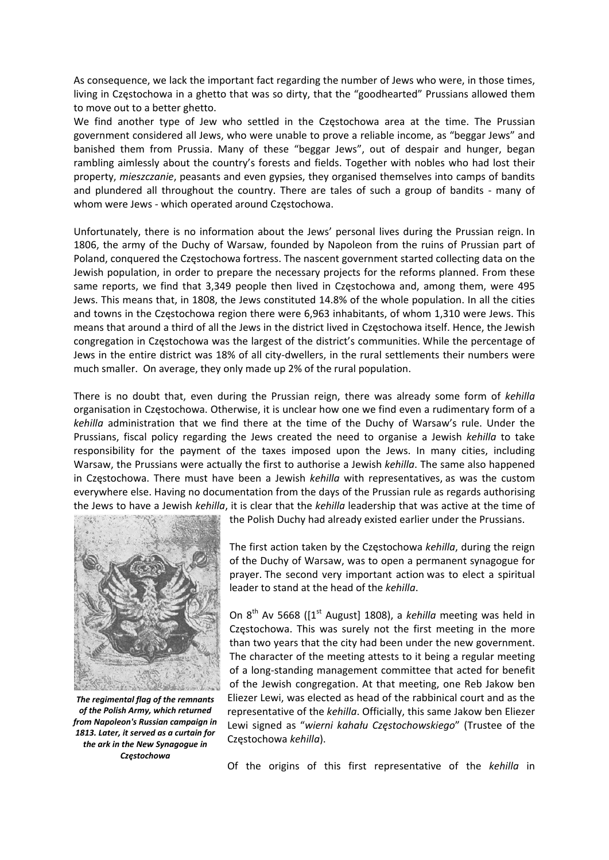As consequence, we lack the important fact regarding the number of Jews who were, in those times, living in Częstochowa in a ghetto that was so dirty, that the "goodhearted" Prussians allowed them to move out to a better ghetto.

We find another type of Jew who settled in the Częstochowa area at the time. The Prussian government considered all Jews, who were unable to prove a reliable income, as "beggar Jews" and banished them from Prussia. Many of these "beggar Jews", out of despair and hunger, began rambling aimlessly about the country's forests and fields. Together with nobles who had lost their property, *mieszczanie*, peasants and even gypsies, they organised themselves into camps of bandits and plundered all throughout the country. There are tales of such a group of bandits - many of whom were Jews - which operated around Częstochowa.

Unfortunately, there is no information about the Jews' personal lives during the Prussian reign. In 1806, the army of the Duchy of Warsaw, founded by Napoleon from the ruins of Prussian part of Poland, conquered the Częstochowa fortress. The nascent government started collecting data on the Jewish population, in order to prepare the necessary projects for the reforms planned. From these same reports, we find that 3,349 people then lived in Częstochowa and, among them, were 495 Jews. This means that, in 1808, the Jews constituted 14.8% of the whole population. In all the cities and towns in the Częstochowa region there were 6,963 inhabitants, of whom 1,310 were Jews. This means that around a third of all the Jews in the district lived in Częstochowa itself. Hence, the Jewish congregation in Częstochowa was the largest of the district's communities. While the percentage of Jews in the entire district was 18% of all city‐dwellers, in the rural settlements their numbers were much smaller. On average, they only made up 2% of the rural population.

There is no doubt that, even during the Prussian reign, there was already some form of *kehilla* organisation in Częstochowa. Otherwise, it is unclear how one we find even a rudimentary form of a *kehilla* administration that we find there at the time of the Duchy of Warsaw's rule. Under the Prussians, fiscal policy regarding the Jews created the need to organise a Jewish *kehilla* to take responsibility for the payment of the taxes imposed upon the Jews. In many cities, including Warsaw, the Prussians were actually the first to authorise a Jewish *kehilla*. The same also happened in Częstochowa. There must have been a Jewish *kehilla* with representatives, as was the custom everywhere else. Having no documentation from the days of the Prussian rule as regards authorising the Jews to have a Jewish *kehilla*, it is clear that the *kehilla* leadership that was active at the time of



*The regimental flag of the remnants of the Polish Army, which returned from Napoleon's Russian campaign in 1813. Later, it served as a curtain for the ark in the New Synagogue in Częstochowa*

the Polish Duchy had already existed earlier under the Prussians.

The first action taken by the Częstochowa *kehilla*, during the reign of the Duchy of Warsaw, was to open a permanent synagogue for prayer. The second very important action was to elect a spiritual leader to stand at the head of the *kehilla*.

On 8<sup>th</sup> Av 5668 ([1<sup>st</sup> August] 1808), a *kehilla* meeting was held in Częstochowa. This was surely not the first meeting in the more than two years that the city had been under the new government. The character of the meeting attests to it being a regular meeting of a long‐standing management committee that acted for benefit of the Jewish congregation. At that meeting, one Reb Jakow ben Eliezer Lewi, was elected as head of the rabbinical court and as the representative of the *kehilla*. Officially, this same Jakow ben Eliezer Lewi signed as "*wierni kahału Częstochowskiego*" (Trustee of the Częstochowa *kehilla*).

Of the origins of this first representative of the *kehilla* in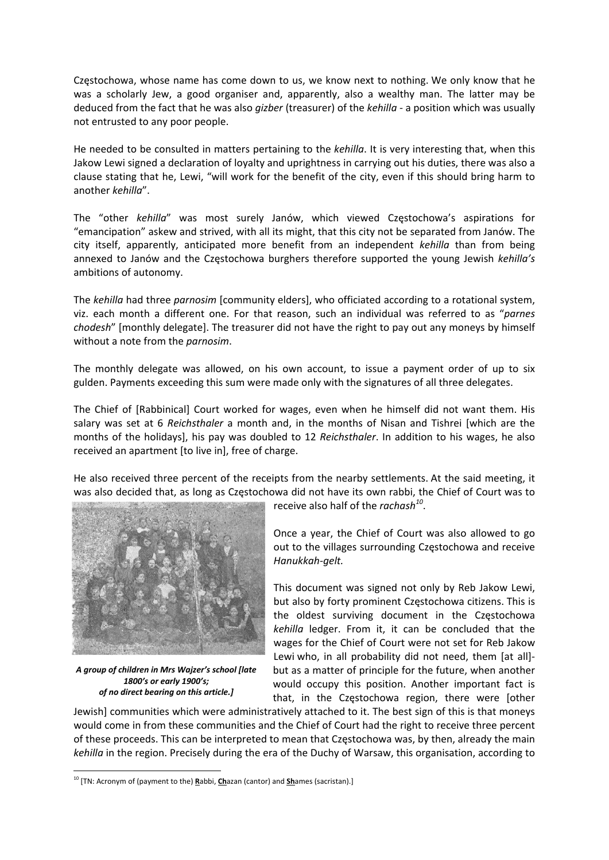Częstochowa, whose name has come down to us, we know next to nothing. We only know that he was a scholarly Jew, a good organiser and, apparently, also a wealthy man. The latter may be deduced from the fact that he was also *gizber* (treasurer) of the *kehilla* ‐ a position which was usually not entrusted to any poor people.

He needed to be consulted in matters pertaining to the *kehilla*. It is very interesting that, when this Jakow Lewi signed a declaration of loyalty and uprightness in carrying out his duties, there was also a clause stating that he, Lewi, "will work for the benefit of the city, even if this should bring harm to another *kehilla*".

The "other *kehilla*" was most surely Janów, which viewed Częstochowa's aspirations for "emancipation" askew and strived, with all its might, that this city not be separated from Janów. The city itself, apparently, anticipated more benefit from an independent *kehilla* than from being annexed to Janów and the Częstochowa burghers therefore supported the young Jewish *kehilla's* ambitions of autonomy.

The *kehilla* had three *parnosim* [community elders], who officiated according to a rotational system, viz. each month a different one. For that reason, such an individual was referred to as "*parnes chodesh*" [monthly delegate]. The treasurer did not have the right to pay out any moneys by himself without a note from the *parnosim*.

The monthly delegate was allowed, on his own account, to issue a payment order of up to six gulden. Payments exceeding this sum were made only with the signatures of all three delegates.

The Chief of [Rabbinical] Court worked for wages, even when he himself did not want them. His salary was set at 6 *Reichsthaler* a month and, in the months of Nisan and Tishrei [which are the months of the holidays], his pay was doubled to 12 *Reichsthaler*. In addition to his wages, he also received an apartment [to live in], free of charge.

He also received three percent of the receipts from the nearby settlements. At the said meeting, it was also decided that, as long as Częstochowa did not have its own rabbi, the Chief of Court was to



*A group of children in Mrs Wajzer's school [late 1800's or early 1900's; of no direct bearing on this article.]*

receive also half of the *rachash<sup>10</sup>*.

Once a year, the Chief of Court was also allowed to go out to the villages surrounding Częstochowa and receive *Hanukkah‐gelt.*

This document was signed not only by Reb Jakow Lewi, but also by forty prominent Częstochowa citizens. This is the oldest surviving document in the Częstochowa *kehilla* ledger. From it, it can be concluded that the wages for the Chief of Court were not set for Reb Jakow Lewi who, in all probability did not need, them [at all]but as a matter of principle for the future, when another would occupy this position. Another important fact is that, in the Częstochowa region, there were [other

Jewish] communities which were administratively attached to it. The best sign of this is that moneys would come in from these communities and the Chief of Court had the right to receive three percent of these proceeds. This can be interpreted to mean that Częstochowa was, by then, already the main *kehilla* in the region. Precisely during the era of the Duchy of Warsaw, this organisation, according to

<sup>10</sup> [TN: Acronym of (payment to the) **R**abbi, **Ch**azan (cantor) and **Sh**ames (sacristan).]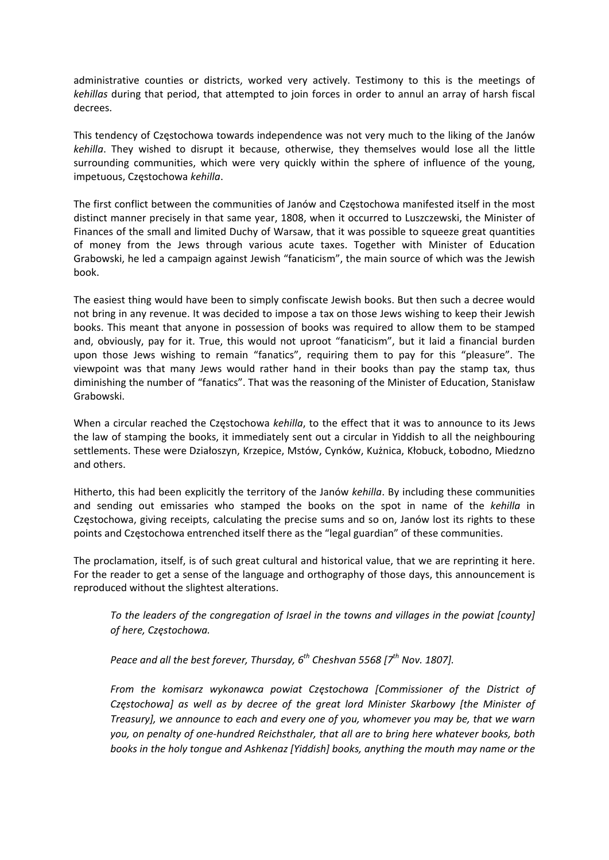administrative counties or districts, worked very actively. Testimony to this is the meetings of *kehillas* during that period, that attempted to join forces in order to annul an array of harsh fiscal decrees.

This tendency of Częstochowa towards independence was not very much to the liking of the Janów *kehilla*. They wished to disrupt it because, otherwise, they themselves would lose all the little surrounding communities, which were very quickly within the sphere of influence of the young, impetuous, Częstochowa *kehilla*.

The first conflict between the communities of Janów and Częstochowa manifested itself in the most distinct manner precisely in that same year, 1808, when it occurred to Luszczewski, the Minister of Finances of the small and limited Duchy of Warsaw, that it was possible to squeeze great quantities of money from the Jews through various acute taxes. Together with Minister of Education Grabowski, he led a campaign against Jewish "fanaticism", the main source of which was the Jewish book.

The easiest thing would have been to simply confiscate Jewish books. But then such a decree would not bring in any revenue. It was decided to impose a tax on those Jews wishing to keep their Jewish books. This meant that anyone in possession of books was required to allow them to be stamped and, obviously, pay for it. True, this would not uproot "fanaticism", but it laid a financial burden upon those Jews wishing to remain "fanatics", requiring them to pay for this "pleasure". The viewpoint was that many Jews would rather hand in their books than pay the stamp tax, thus diminishing the number of "fanatics". That was the reasoning of the Minister of Education, Stanisław Grabowski.

When a circular reached the Częstochowa *kehilla*, to the effect that it was to announce to its Jews the law of stamping the books, it immediately sent out a circular in Yiddish to all the neighbouring settlements. These were Działoszyn, Krzepice, Mstów, Cynków, Kużnica, Kłobuck, Łobodno, Miedzno and others.

Hitherto, this had been explicitly the territory of the Janów *kehilla*. By including these communities and sending out emissaries who stamped the books on the spot in name of the *kehilla* in Częstochowa, giving receipts, calculating the precise sums and so on, Janów lost its rights to these points and Częstochowa entrenched itself there as the "legal guardian" of these communities.

The proclamation, itself, is of such great cultural and historical value, that we are reprinting it here. For the reader to get a sense of the language and orthography of those days, this announcement is reproduced without the slightest alterations.

*To the leaders of the congregation of Israel in the towns and villages in the powiat [county] of here, Częstochowa.*

*Peace and all the best forever, Thursday, 6th Cheshvan 5568 [7th Nov. 1807].*

*From the komisarz wykonawca powiat Częstochowa [Commissioner of the District of Częstochowa] as well as by decree of the great lord Minister Skarbowy [the Minister of Treasury], we announce to each and every one of you, whomever you may be, that we warn you, on penalty of one‐hundred Reichsthaler, that all are to bring here whatever books, both books in the holy tongue and Ashkenaz [Yiddish] books, anything the mouth may name or the*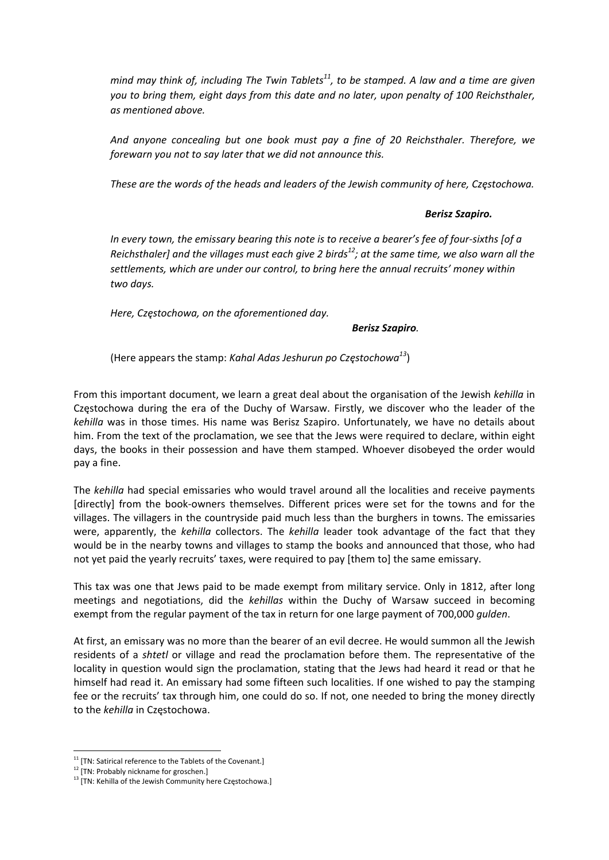*mind may think of, including The Twin Tablets11, to be stamped. A law and a time are given you to bring them, eight days from this date and no later, upon penalty of 100 Reichsthaler, as mentioned above.*

*And anyone concealing but one book must pay a fine of 20 Reichsthaler. Therefore, we forewarn you not to say later that we did not announce this.*

*These are the words of the heads and leaders of the Jewish community of here, Częstochowa.*

#### *Berisz Szapiro.*

In every town, the emissary bearing this note is to receive a bearer's fee of four-sixths [of a Reichsthaler] and the villages must each give 2 birds<sup>12</sup>; at the same time, we also warn all the *settlements, which are under our control, to bring here the annual recruits' money within two days.*

*Here, Częstochowa, on the aforementioned day.*

#### *Berisz Szapiro.*

(Here appears the stamp: *Kahal Adas Jeshurun po Częstochowa<sup>13</sup>*)

From this important document, we learn a great deal about the organisation of the Jewish *kehilla* in Częstochowa during the era of the Duchy of Warsaw. Firstly, we discover who the leader of the *kehilla* was in those times. His name was Berisz Szapiro. Unfortunately, we have no details about him. From the text of the proclamation, we see that the Jews were required to declare, within eight days, the books in their possession and have them stamped. Whoever disobeyed the order would pay a fine.

The *kehilla* had special emissaries who would travel around all the localities and receive payments [directly] from the book‐owners themselves. Different prices were set for the towns and for the villages. The villagers in the countryside paid much less than the burghers in towns. The emissaries were, apparently, the *kehilla* collectors. The *kehilla* leader took advantage of the fact that they would be in the nearby towns and villages to stamp the books and announced that those, who had not yet paid the yearly recruits' taxes, were required to pay [them to] the same emissary.

This tax was one that Jews paid to be made exempt from military service. Only in 1812, after long meetings and negotiations, did the *kehillas* within the Duchy of Warsaw succeed in becoming exempt from the regular payment of the tax in return for one large payment of 700,000 *gulden*.

At first, an emissary was no more than the bearer of an evil decree. He would summon all the Jewish residents of a *shtetl* or village and read the proclamation before them. The representative of the locality in question would sign the proclamation, stating that the Jews had heard it read or that he himself had read it. An emissary had some fifteen such localities. If one wished to pay the stamping fee or the recruits' tax through him, one could do so. If not, one needed to bring the money directly to the *kehilla* in Częstochowa.

 $11$  [TN: Satirical reference to the Tablets of the Covenant.]

<sup>&</sup>lt;sup>12</sup> [TN: Probably nickname for groschen.]

<sup>&</sup>lt;sup>13</sup> [TN: Kehilla of the Jewish Community here Częstochowa.]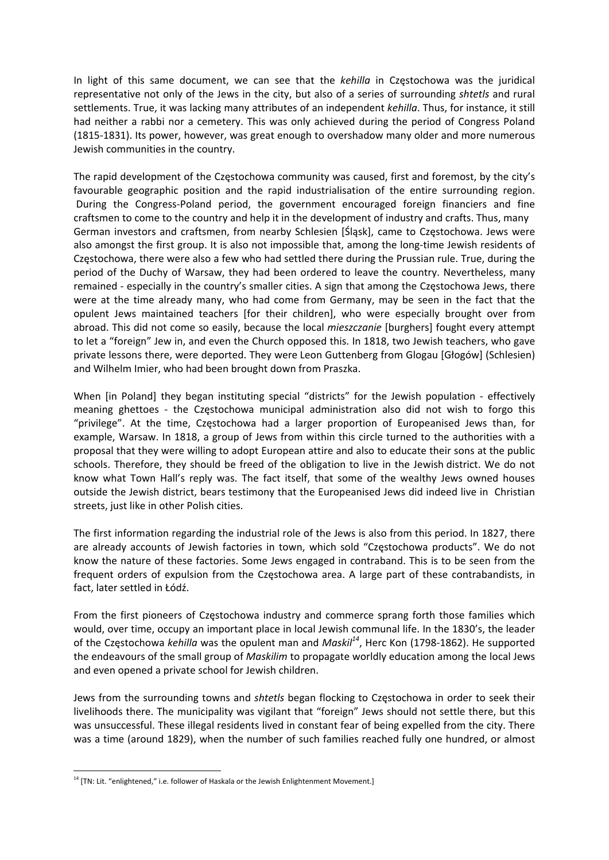In light of this same document, we can see that the *kehilla* in Częstochowa was the juridical representative not only of the Jews in the city, but also of a series of surrounding *shtetls* and rural settlements. True, it was lacking many attributes of an independent *kehilla*. Thus, for instance, it still had neither a rabbi nor a cemetery. This was only achieved during the period of Congress Poland (1815‐1831). Its power, however, was great enough to overshadow many older and more numerous Jewish communities in the country.

The rapid development of the Częstochowa community was caused, first and foremost, by the city's favourable geographic position and the rapid industrialisation of the entire surrounding region. During the Congress‐Poland period, the government encouraged foreign financiers and fine craftsmen to come to the country and help it in the development of industry and crafts. Thus, many German investors and craftsmen, from nearby Schlesien [Śląsk], came to Częstochowa. Jews were also amongst the first group. It is also not impossible that, among the long‐time Jewish residents of Częstochowa, there were also a few who had settled there during the Prussian rule. True, during the period of the Duchy of Warsaw, they had been ordered to leave the country. Nevertheless, many remained ‐ especially in the country's smaller cities. A sign that among the Częstochowa Jews, there were at the time already many, who had come from Germany, may be seen in the fact that the opulent Jews maintained teachers [for their children], who were especially brought over from abroad. This did not come so easily, because the local *mieszczanie* [burghers] fought every attempt to let a "foreign" Jew in, and even the Church opposed this. In 1818, two Jewish teachers, who gave private lessons there, were deported. They were Leon Guttenberg from Glogau [Głogów] (Schlesien) and Wilhelm Imier, who had been brought down from Praszka.

When [in Poland] they began instituting special "districts" for the Jewish population - effectively meaning ghettoes - the Czestochowa municipal administration also did not wish to forgo this "privilege". At the time, Częstochowa had a larger proportion of Europeanised Jews than, for example, Warsaw. In 1818, a group of Jews from within this circle turned to the authorities with a proposal that they were willing to adopt European attire and also to educate their sons at the public schools. Therefore, they should be freed of the obligation to live in the Jewish district. We do not know what Town Hall's reply was. The fact itself, that some of the wealthy Jews owned houses outside the Jewish district, bears testimony that the Europeanised Jews did indeed live in Christian streets, just like in other Polish cities.

The first information regarding the industrial role of the Jews is also from this period. In 1827, there are already accounts of Jewish factories in town, which sold "Częstochowa products". We do not know the nature of these factories. Some Jews engaged in contraband. This is to be seen from the frequent orders of expulsion from the Częstochowa area. A large part of these contrabandists, in fact, later settled in Łódź.

From the first pioneers of Częstochowa industry and commerce sprang forth those families which would, over time, occupy an important place in local Jewish communal life. In the 1830's, the leader of the Częstochowa *kehilla* was the opulent man and *Maskil<sup>14</sup>*, Herc Kon (1798‐1862). He supported the endeavours of the small group of *Maskilim* to propagate worldly education among the local Jews and even opened a private school for Jewish children.

Jews from the surrounding towns and *shtetls* began flocking to Częstochowa in order to seek their livelihoods there. The municipality was vigilant that "foreign" Jews should not settle there, but this was unsuccessful. These illegal residents lived in constant fear of being expelled from the city. There was a time (around 1829), when the number of such families reached fully one hundred, or almost

<sup>&</sup>lt;sup>14</sup> [TN: Lit. "enlightened," i.e. follower of Haskala or the Jewish Enlightenment Movement.]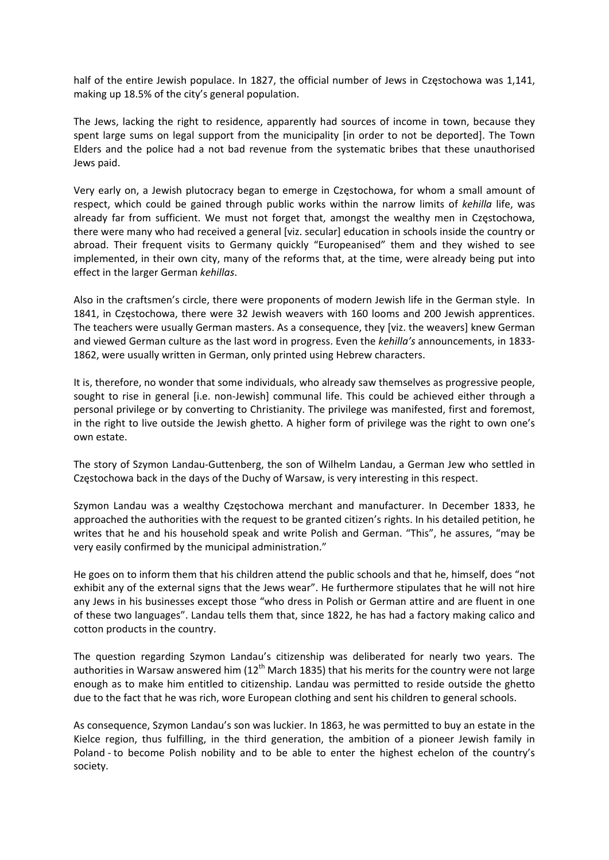half of the entire Jewish populace. In 1827, the official number of Jews in Częstochowa was 1,141, making up 18.5% of the city's general population.

The Jews, lacking the right to residence, apparently had sources of income in town, because they spent large sums on legal support from the municipality [in order to not be deported]. The Town Elders and the police had a not bad revenue from the systematic bribes that these unauthorised Jews paid.

Very early on, a Jewish plutocracy began to emerge in Częstochowa, for whom a small amount of respect, which could be gained through public works within the narrow limits of *kehilla* life, was already far from sufficient. We must not forget that, amongst the wealthy men in Częstochowa, there were many who had received a general [viz. secular] education in schools inside the country or abroad. Their frequent visits to Germany quickly "Europeanised" them and they wished to see implemented, in their own city, many of the reforms that, at the time, were already being put into effect in the larger German *kehillas*.

Also in the craftsmen's circle, there were proponents of modern Jewish life in the German style. In 1841, in Częstochowa, there were 32 Jewish weavers with 160 looms and 200 Jewish apprentices. The teachers were usually German masters. As a consequence, they [viz. the weavers] knew German and viewed German culture as the last word in progress. Even the *kehilla's* announcements, in 1833‐ 1862, were usually written in German, only printed using Hebrew characters.

It is, therefore, no wonder that some individuals, who already saw themselves as progressive people, sought to rise in general [i.e. non-Jewish] communal life. This could be achieved either through a personal privilege or by converting to Christianity. The privilege was manifested, first and foremost, in the right to live outside the Jewish ghetto. A higher form of privilege was the right to own one's own estate.

The story of Szymon Landau‐Guttenberg, the son of Wilhelm Landau, a German Jew who settled in Częstochowa back in the days of the Duchy of Warsaw, is very interesting in this respect.

Szymon Landau was a wealthy Częstochowa merchant and manufacturer. In December 1833, he approached the authorities with the request to be granted citizen's rights. In his detailed petition, he writes that he and his household speak and write Polish and German. "This", he assures, "may be very easily confirmed by the municipal administration."

He goes on to inform them that his children attend the public schools and that he, himself, does "not exhibit any of the external signs that the Jews wear". He furthermore stipulates that he will not hire any Jews in his businesses except those "who dress in Polish or German attire and are fluent in one of these two languages". Landau tells them that, since 1822, he has had a factory making calico and cotton products in the country.

The question regarding Szymon Landau's citizenship was deliberated for nearly two years. The authorities in Warsaw answered him ( $12<sup>th</sup>$  March 1835) that his merits for the country were not large enough as to make him entitled to citizenship. Landau was permitted to reside outside the ghetto due to the fact that he was rich, wore European clothing and sent his children to general schools.

As consequence, Szymon Landau's son was luckier. In 1863, he was permitted to buy an estate in the Kielce region, thus fulfilling, in the third generation, the ambition of a pioneer Jewish family in Poland - to become Polish nobility and to be able to enter the highest echelon of the country's society.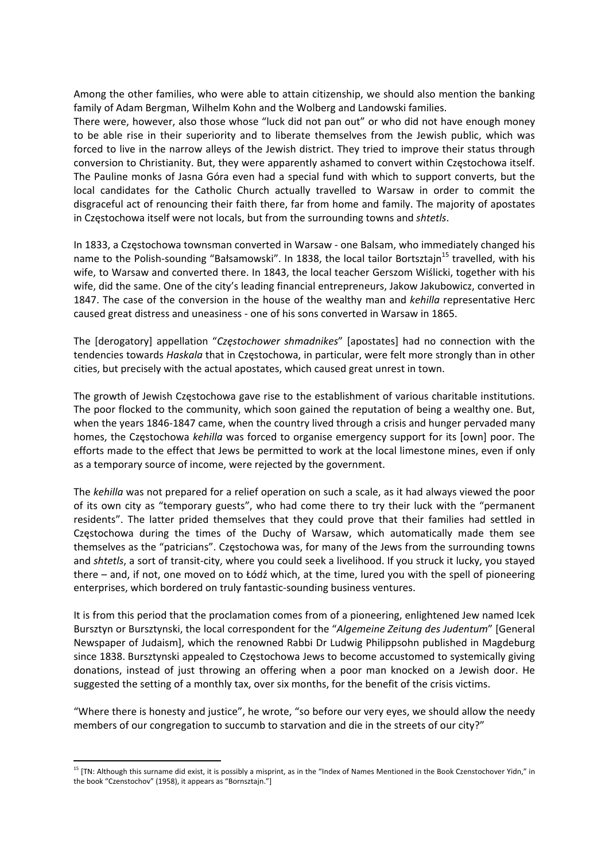Among the other families, who were able to attain citizenship, we should also mention the banking family of Adam Bergman, Wilhelm Kohn and the Wolberg and Landowski families.

There were, however, also those whose "luck did not pan out" or who did not have enough money to be able rise in their superiority and to liberate themselves from the Jewish public, which was forced to live in the narrow alleys of the Jewish district. They tried to improve their status through conversion to Christianity. But, they were apparently ashamed to convert within Częstochowa itself. The Pauline monks of Jasna Góra even had a special fund with which to support converts, but the local candidates for the Catholic Church actually travelled to Warsaw in order to commit the disgraceful act of renouncing their faith there, far from home and family. The majority of apostates in Częstochowa itself were not locals, but from the surrounding towns and *shtetls*.

In 1833, a Częstochowa townsman converted in Warsaw ‐ one Balsam, who immediately changed his name to the Polish-sounding "Bałsamowski". In 1838, the local tailor Bortsztajn<sup>15</sup> travelled, with his wife, to Warsaw and converted there. In 1843, the local teacher Gerszom Wiślicki, together with his wife, did the same. One of the city's leading financial entrepreneurs, Jakow Jakubowicz, converted in 1847. The case of the conversion in the house of the wealthy man and *kehilla* representative Herc caused great distress and uneasiness ‐ one of his sons converted in Warsaw in 1865.

The [derogatory] appellation "*Częstochower shmadnikes*" [apostates] had no connection with the tendencies towards *Haskala* that in Częstochowa, in particular, were felt more strongly than in other cities, but precisely with the actual apostates, which caused great unrest in town.

The growth of Jewish Częstochowa gave rise to the establishment of various charitable institutions. The poor flocked to the community, which soon gained the reputation of being a wealthy one. But, when the years 1846‐1847 came, when the country lived through a crisis and hunger pervaded many homes, the Częstochowa *kehilla* was forced to organise emergency support for its [own] poor. The efforts made to the effect that Jews be permitted to work at the local limestone mines, even if only as a temporary source of income, were rejected by the government.

The *kehilla* was not prepared for a relief operation on such a scale, as it had always viewed the poor of its own city as "temporary guests", who had come there to try their luck with the "permanent residents". The latter prided themselves that they could prove that their families had settled in Częstochowa during the times of the Duchy of Warsaw, which automatically made them see themselves as the "patricians". Częstochowa was, for many of the Jews from the surrounding towns and *shtetls*, a sort of transit‐city, where you could seek a livelihood. If you struck it lucky, you stayed there – and, if not, one moved on to Łódź which, at the time, lured you with the spell of pioneering enterprises, which bordered on truly fantastic‐sounding business ventures.

It is from this period that the proclamation comes from of a pioneering, enlightened Jew named Icek Bursztyn or Bursztynski, the local correspondent for the "*Algemeine Zeitung des Judentum*" [General Newspaper of Judaism], which the renowned Rabbi Dr Ludwig Philippsohn published in Magdeburg since 1838. Bursztynski appealed to Częstochowa Jews to become accustomed to systemically giving donations, instead of just throwing an offering when a poor man knocked on a Jewish door. He suggested the setting of a monthly tax, over six months, for the benefit of the crisis victims.

"Where there is honesty and justice", he wrote, "so before our very eyes, we should allow the needy members of our congregation to succumb to starvation and die in the streets of our city?"

<sup>&</sup>lt;sup>15</sup> [TN: Although this surname did exist, it is possibly a misprint, as in the "Index of Names Mentioned in the Book Czenstochover Yidn," in the book "Czenstochov" (1958), it appears as "Bornsztajn."]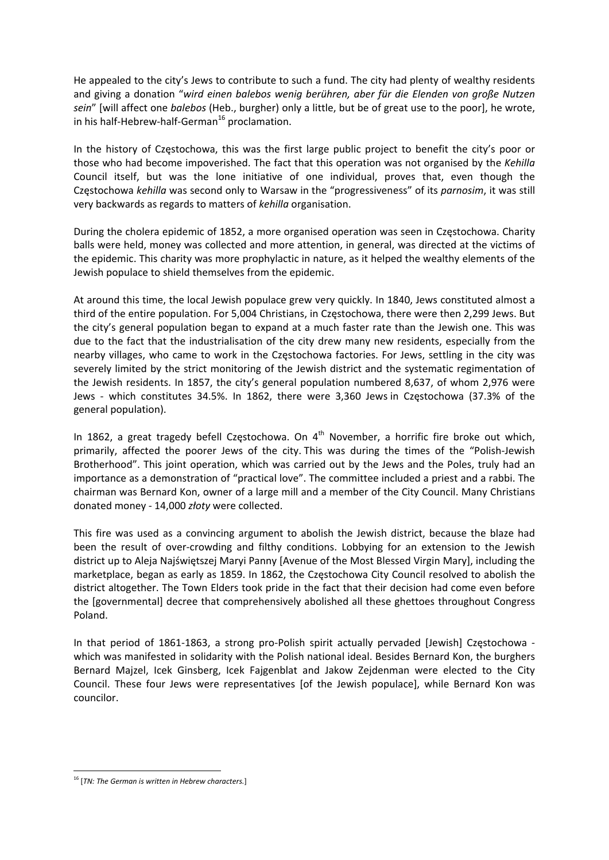He appealed to the city's Jews to contribute to such a fund. The city had plenty of wealthy residents and giving a donation "*wird einen balebos wenig berühren, aber für die Elenden von große Nutzen sein*" [will affect one *balebos* (Heb., burgher) only a little, but be of great use to the poor], he wrote, in his half-Hebrew-half-German<sup>16</sup> proclamation.

In the history of Częstochowa, this was the first large public project to benefit the city's poor or those who had become impoverished. The fact that this operation was not organised by the *Kehilla* Council itself, but was the lone initiative of one individual, proves that, even though the Częstochowa *kehilla* was second only to Warsaw in the "progressiveness" of its *parnosim*, it was still very backwards as regards to matters of *kehilla* organisation.

During the cholera epidemic of 1852, a more organised operation was seen in Częstochowa. Charity balls were held, money was collected and more attention, in general, was directed at the victims of the epidemic. This charity was more prophylactic in nature, as it helped the wealthy elements of the Jewish populace to shield themselves from the epidemic.

At around this time, the local Jewish populace grew very quickly. In 1840, Jews constituted almost a third of the entire population. For 5,004 Christians, in Częstochowa, there were then 2,299 Jews. But the city's general population began to expand at a much faster rate than the Jewish one. This was due to the fact that the industrialisation of the city drew many new residents, especially from the nearby villages, who came to work in the Częstochowa factories. For Jews, settling in the city was severely limited by the strict monitoring of the Jewish district and the systematic regimentation of the Jewish residents. In 1857, the city's general population numbered 8,637, of whom 2,976 were Jews - which constitutes 34.5%. In 1862, there were 3,360 Jews in Częstochowa (37.3% of the general population).

In 1862, a great tragedy befell Częstochowa. On  $4<sup>th</sup>$  November, a horrific fire broke out which, primarily, affected the poorer Jews of the city. This was during the times of the "Polish‐Jewish Brotherhood". This joint operation, which was carried out by the Jews and the Poles, truly had an importance as a demonstration of "practical love". The committee included a priest and a rabbi. The chairman was Bernard Kon, owner of a large mill and a member of the City Council. Many Christians donated money ‐ 14,000 *złoty* were collected.

This fire was used as a convincing argument to abolish the Jewish district, because the blaze had been the result of over-crowding and filthy conditions. Lobbying for an extension to the Jewish district up to Aleja Najświętszej Maryi Panny [Avenue of the Most Blessed Virgin Mary], including the marketplace, began as early as 1859. In 1862, the Częstochowa City Council resolved to abolish the district altogether. The Town Elders took pride in the fact that their decision had come even before the [governmental] decree that comprehensively abolished all these ghettoes throughout Congress Poland.

In that period of 1861-1863, a strong pro-Polish spirit actually pervaded [Jewish] Częstochowa which was manifested in solidarity with the Polish national ideal. Besides Bernard Kon, the burghers Bernard Majzel, Icek Ginsberg, Icek Fajgenblat and Jakow Zejdenman were elected to the City Council. These four Jews were representatives [of the Jewish populace], while Bernard Kon was councilor.

 <sup>16</sup> [*TN: The German is written in Hebrew characters.*]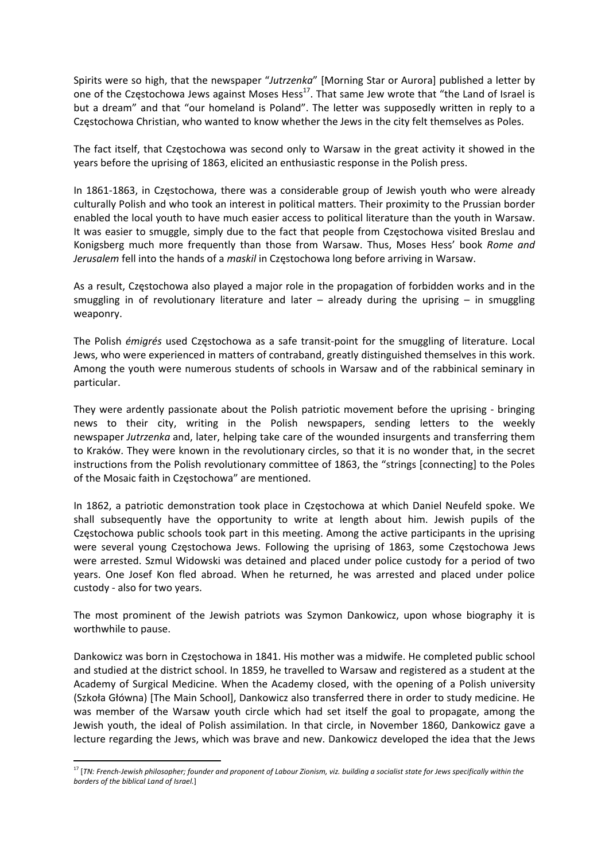Spirits were so high, that the newspaper "*Jutrzenka*" [Morning Star or Aurora] published a letter by one of the Częstochowa Jews against Moses Hess<sup>17</sup>. That same Jew wrote that "the Land of Israel is but a dream" and that "our homeland is Poland". The letter was supposedly written in reply to a Częstochowa Christian, who wanted to know whether the Jews in the city felt themselves as Poles.

The fact itself, that Częstochowa was second only to Warsaw in the great activity it showed in the years before the uprising of 1863, elicited an enthusiastic response in the Polish press.

In 1861‐1863, in Częstochowa, there was a considerable group of Jewish youth who were already culturally Polish and who took an interest in political matters. Their proximity to the Prussian border enabled the local youth to have much easier access to political literature than the youth in Warsaw. It was easier to smuggle, simply due to the fact that people from Częstochowa visited Breslau and Konigsberg much more frequently than those from Warsaw. Thus, Moses Hess' book *Rome and Jerusalem* fell into the hands of a *maskil* in Częstochowa long before arriving in Warsaw.

As a result, Częstochowa also played a major role in the propagation of forbidden works and in the smuggling in of revolutionary literature and later  $-$  already during the uprising  $-$  in smuggling weaponry.

The Polish *émigrés* used Częstochowa as a safe transit‐point for the smuggling of literature. Local Jews, who were experienced in matters of contraband, greatly distinguished themselves in this work. Among the youth were numerous students of schools in Warsaw and of the rabbinical seminary in particular.

They were ardently passionate about the Polish patriotic movement before the uprising ‐ bringing news to their city, writing in the Polish newspapers, sending letters to the weekly newspaper *Jutrzenka* and, later, helping take care of the wounded insurgents and transferring them to Kraków. They were known in the revolutionary circles, so that it is no wonder that, in the secret instructions from the Polish revolutionary committee of 1863, the "strings [connecting] to the Poles of the Mosaic faith in Częstochowa" are mentioned.

In 1862, a patriotic demonstration took place in Częstochowa at which Daniel Neufeld spoke. We shall subsequently have the opportunity to write at length about him. Jewish pupils of the Częstochowa public schools took part in this meeting. Among the active participants in the uprising were several young Częstochowa Jews. Following the uprising of 1863, some Częstochowa Jews were arrested. Szmul Widowski was detained and placed under police custody for a period of two years. One Josef Kon fled abroad. When he returned, he was arrested and placed under police custody ‐ also for two years.

The most prominent of the Jewish patriots was Szymon Dankowicz, upon whose biography it is worthwhile to pause.

Dankowicz was born in Częstochowa in 1841. His mother was a midwife. He completed public school and studied at the district school. In 1859, he travelled to Warsaw and registered as a student at the Academy of Surgical Medicine. When the Academy closed, with the opening of a Polish university (Szkoła Główna) [The Main School], Dankowicz also transferred there in order to study medicine. He was member of the Warsaw youth circle which had set itself the goal to propagate, among the Jewish youth, the ideal of Polish assimilation. In that circle, in November 1860, Dankowicz gave a lecture regarding the Jews, which was brave and new. Dankowicz developed the idea that the Jews

 $^{17}$  [TN: French-Jewish philosopher; founder and proponent of Labour Zionism, viz. building a socialist state for Jews specifically within the *borders of the biblical Land of Israel.*]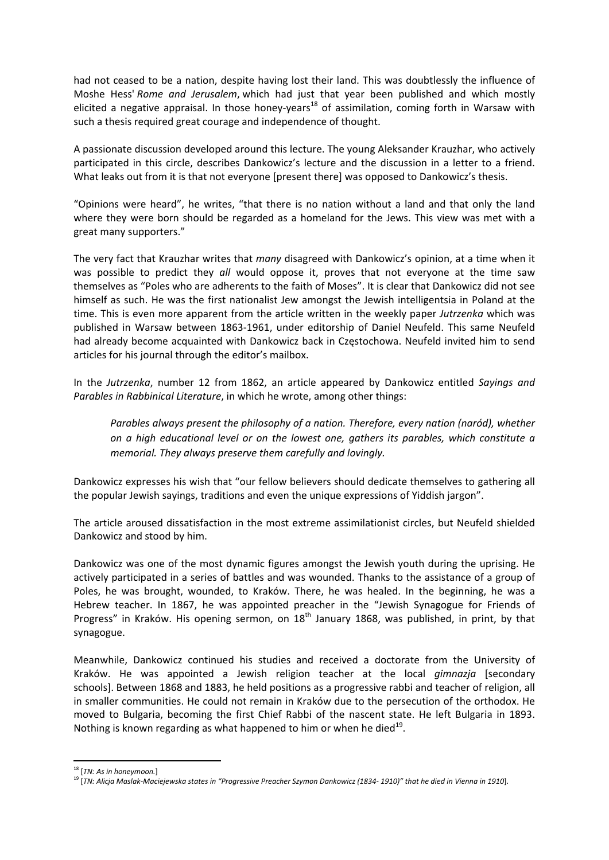had not ceased to be a nation, despite having lost their land. This was doubtlessly the influence of Moshe Hess' *Rome and Jerusalem*, which had just that year been published and which mostly elicited a negative appraisal. In those honey-years<sup>18</sup> of assimilation, coming forth in Warsaw with such a thesis required great courage and independence of thought.

A passionate discussion developed around this lecture. The young Aleksander Krauzhar, who actively participated in this circle, describes Dankowicz's lecture and the discussion in a letter to a friend. What leaks out from it is that not everyone [present there] was opposed to Dankowicz's thesis.

"Opinions were heard", he writes, "that there is no nation without a land and that only the land where they were born should be regarded as a homeland for the Jews. This view was met with a great many supporters."

The very fact that Krauzhar writes that *many* disagreed with Dankowicz's opinion, at a time when it was possible to predict they *all* would oppose it, proves that not everyone at the time saw themselves as "Poles who are adherents to the faith of Moses". It is clear that Dankowicz did not see himself as such. He was the first nationalist Jew amongst the Jewish intelligentsia in Poland at the time. This is even more apparent from the article written in the weekly paper *Jutrzenka* which was published in Warsaw between 1863‐1961, under editorship of Daniel Neufeld. This same Neufeld had already become acquainted with Dankowicz back in Częstochowa. Neufeld invited him to send articles for his journal through the editor's mailbox.

In the *Jutrzenka*, number 12 from 1862, an article appeared by Dankowicz entitled *Sayings and Parables in Rabbinical Literature*, in which he wrote, among other things:

*Parables always present the philosophy of a nation. Therefore, every nation (naród), whether on a high educational level or on the lowest one, gathers its parables, which constitute a memorial. They always preserve them carefully and lovingly.* 

Dankowicz expresses his wish that "our fellow believers should dedicate themselves to gathering all the popular Jewish sayings, traditions and even the unique expressions of Yiddish jargon".

The article aroused dissatisfaction in the most extreme assimilationist circles, but Neufeld shielded Dankowicz and stood by him.

Dankowicz was one of the most dynamic figures amongst the Jewish youth during the uprising. He actively participated in a series of battles and was wounded. Thanks to the assistance of a group of Poles, he was brought, wounded, to Kraków. There, he was healed. In the beginning, he was a Hebrew teacher. In 1867, he was appointed preacher in the "Jewish Synagogue for Friends of Progress" in Kraków. His opening sermon, on 18<sup>th</sup> January 1868, was published, in print, by that synagogue.

Meanwhile, Dankowicz continued his studies and received a doctorate from the University of Kraków. He was appointed a Jewish religion teacher at the local *gimnazja* [secondary schools]. Between 1868 and 1883, he held positions as a progressive rabbi and teacher of religion, all in smaller communities. He could not remain in Kraków due to the persecution of the orthodox. He moved to Bulgaria, becoming the first Chief Rabbi of the nascent state. He left Bulgaria in 1893. Nothing is known regarding as what happened to him or when he died $^{19}$ .

<sup>18</sup> [*TN: As in honeymoon.*]

<sup>&</sup>lt;sup>19</sup> [TN: Alicja Maslak-Maciejewska states in "Progressive Preacher Szymon Dankowicz (1834-1910)" that he died in Vienna in 1910].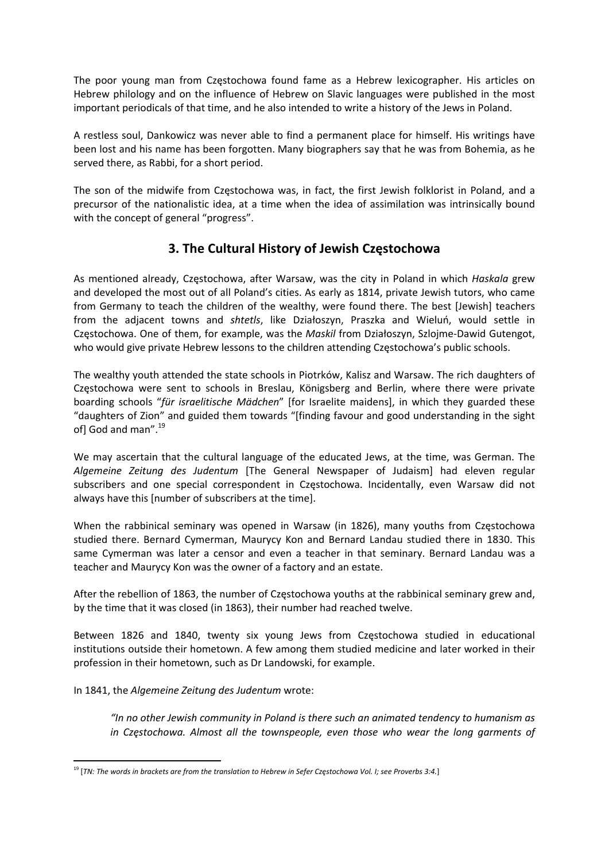The poor young man from Częstochowa found fame as a Hebrew lexicographer. His articles on Hebrew philology and on the influence of Hebrew on Slavic languages were published in the most important periodicals of that time, and he also intended to write a history of the Jews in Poland.

A restless soul, Dankowicz was never able to find a permanent place for himself. His writings have been lost and his name has been forgotten. Many biographers say that he was from Bohemia, as he served there, as Rabbi, for a short period.

The son of the midwife from Częstochowa was, in fact, the first Jewish folklorist in Poland, and a precursor of the nationalistic idea, at a time when the idea of assimilation was intrinsically bound with the concept of general "progress".

## **3. The Cultural History of Jewish Częstochowa**

As mentioned already, Częstochowa, after Warsaw, was the city in Poland in which *Haskala* grew and developed the most out of all Poland's cities. As early as 1814, private Jewish tutors, who came from Germany to teach the children of the wealthy, were found there. The best [Jewish] teachers from the adjacent towns and *shtetls*, like Działoszyn, Praszka and Wieluń, would settle in Częstochowa. One of them, for example, was the *Maskil* from Działoszyn, Szlojme‐Dawid Gutengot, who would give private Hebrew lessons to the children attending Częstochowa's public schools.

The wealthy youth attended the state schools in Piotrków, Kalisz and Warsaw. The rich daughters of Częstochowa were sent to schools in Breslau, Königsberg and Berlin, where there were private boarding schools "*für israelitische Mädchen*" [for Israelite maidens], in which they guarded these "daughters of Zion" and guided them towards "[finding favour and good understanding in the sight of] God and man".<sup>19</sup>

We may ascertain that the cultural language of the educated Jews, at the time, was German. The *Algemeine Zeitung des Judentum* [The General Newspaper of Judaism] had eleven regular subscribers and one special correspondent in Częstochowa. Incidentally, even Warsaw did not always have this [number of subscribers at the time].

When the rabbinical seminary was opened in Warsaw (in 1826), many youths from Częstochowa studied there. Bernard Cymerman, Maurycy Kon and Bernard Landau studied there in 1830. This same Cymerman was later a censor and even a teacher in that seminary. Bernard Landau was a teacher and Maurycy Kon was the owner of a factory and an estate.

After the rebellion of 1863, the number of Częstochowa youths at the rabbinical seminary grew and, by the time that it was closed (in 1863), their number had reached twelve.

Between 1826 and 1840, twenty six young Jews from Częstochowa studied in educational institutions outside their hometown. A few among them studied medicine and later worked in their profession in their hometown, such as Dr Landowski, for example.

In 1841, the *Algemeine Zeitung des Judentum* wrote:

*"In no other Jewish community in Poland is there such an animated tendency to humanism as in Częstochowa. Almost all the townspeople, even those who wear the long garments of*

 <sup>19</sup> [TN: The words in brackets are from the translation to Hebrew in Sefer Częstochowa Vol. I; see Proverbs 3:4.]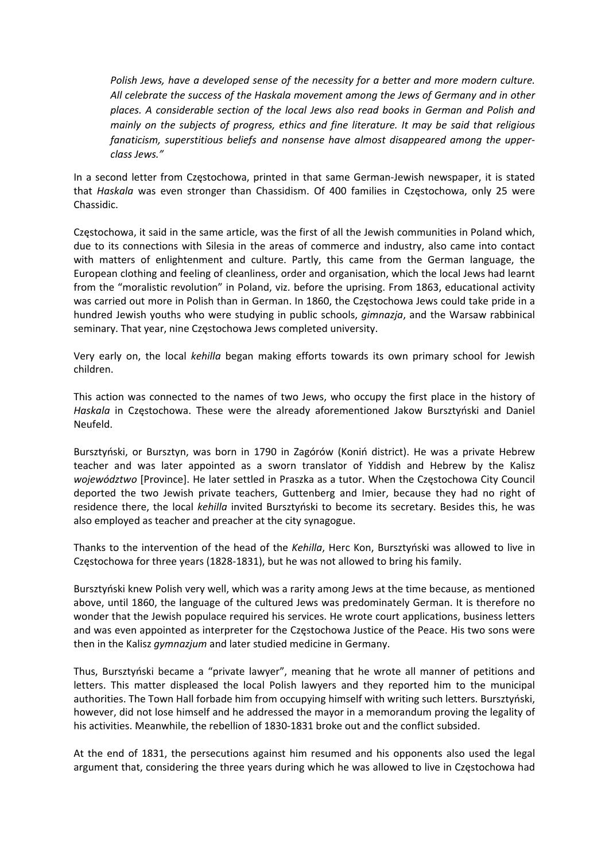*Polish Jews, have a developed sense of the necessity for a better and more modern culture. All celebrate the success of the Haskala movement among the Jews of Germany and in other places. A considerable section of the local Jews also read books in German and Polish and mainly on the subjects of progress, ethics and fine literature. It may be said that religious fanaticism, superstitious beliefs and nonsense have almost disappeared among the upper‐ class Jews."*

In a second letter from Częstochowa, printed in that same German‐Jewish newspaper, it is stated that *Haskala* was even stronger than Chassidism. Of 400 families in Częstochowa, only 25 were Chassidic.

Częstochowa, it said in the same article, was the first of all the Jewish communities in Poland which, due to its connections with Silesia in the areas of commerce and industry, also came into contact with matters of enlightenment and culture. Partly, this came from the German language, the European clothing and feeling of cleanliness, order and organisation, which the local Jews had learnt from the "moralistic revolution" in Poland, viz. before the uprising. From 1863, educational activity was carried out more in Polish than in German. In 1860, the Częstochowa Jews could take pride in a hundred Jewish youths who were studying in public schools, *gimnazja*, and the Warsaw rabbinical seminary. That year, nine Częstochowa Jews completed university.

Very early on, the local *kehilla* began making efforts towards its own primary school for Jewish children.

This action was connected to the names of two Jews, who occupy the first place in the history of *Haskala* in Częstochowa. These were the already aforementioned Jakow Bursztyński and Daniel Neufeld.

Bursztyński, or Bursztyn, was born in 1790 in Zagórów (Koniń district). He was a private Hebrew teacher and was later appointed as a sworn translator of Yiddish and Hebrew by the Kalisz *województwo* [Province]. He later settled in Praszka as a tutor. When the Częstochowa City Council deported the two Jewish private teachers, Guttenberg and Imier, because they had no right of residence there, the local *kehilla* invited Bursztyński to become its secretary. Besides this, he was also employed as teacher and preacher at the city synagogue.

Thanks to the intervention of the head of the *Kehilla*, Herc Kon, Bursztyński was allowed to live in Częstochowa for three years (1828‐1831), but he was not allowed to bring his family.

Bursztyński knew Polish very well, which was a rarity among Jews at the time because, as mentioned above, until 1860, the language of the cultured Jews was predominately German. It is therefore no wonder that the Jewish populace required his services. He wrote court applications, business letters and was even appointed as interpreter for the Częstochowa Justice of the Peace. His two sons were then in the Kalisz *gymnazjum* and later studied medicine in Germany.

Thus, Bursztyński became a "private lawyer", meaning that he wrote all manner of petitions and letters. This matter displeased the local Polish lawyers and they reported him to the municipal authorities. The Town Hall forbade him from occupying himself with writing such letters. Bursztyński, however, did not lose himself and he addressed the mayor in a memorandum proving the legality of his activities. Meanwhile, the rebellion of 1830-1831 broke out and the conflict subsided.

At the end of 1831, the persecutions against him resumed and his opponents also used the legal argument that, considering the three years during which he was allowed to live in Częstochowa had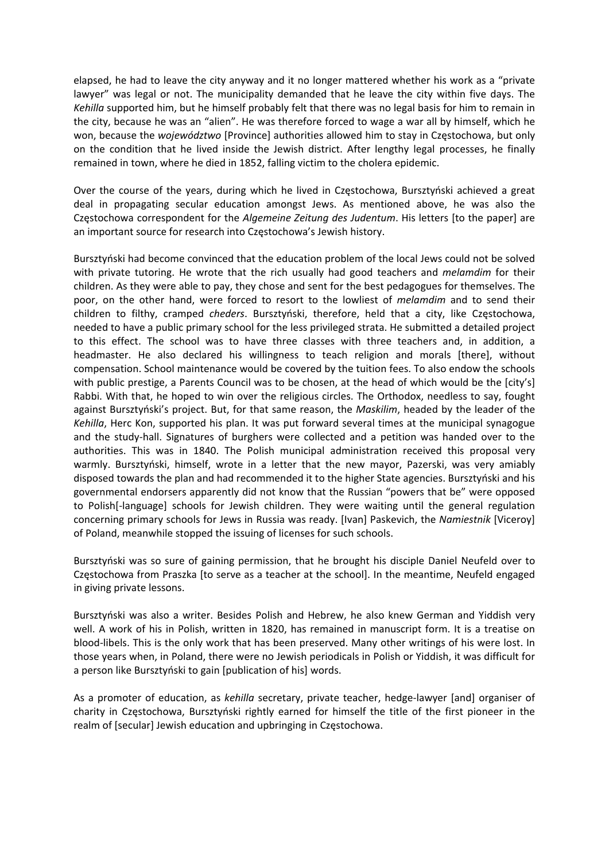elapsed, he had to leave the city anyway and it no longer mattered whether his work as a "private lawyer" was legal or not. The municipality demanded that he leave the city within five days. The *Kehilla* supported him, but he himself probably felt that there was no legal basis for him to remain in the city, because he was an "alien". He was therefore forced to wage a war all by himself, which he won, because the *województwo* [Province] authorities allowed him to stay in Częstochowa, but only on the condition that he lived inside the Jewish district. After lengthy legal processes, he finally remained in town, where he died in 1852, falling victim to the cholera epidemic.

Over the course of the years, during which he lived in Częstochowa, Bursztyński achieved a great deal in propagating secular education amongst Jews. As mentioned above, he was also the Częstochowa correspondent for the *Algemeine Zeitung des Judentum*. His letters [to the paper] are an important source for research into Częstochowa's Jewish history.

Bursztyński had become convinced that the education problem of the local Jews could not be solved with private tutoring. He wrote that the rich usually had good teachers and *melamdim* for their children. As they were able to pay, they chose and sent for the best pedagogues for themselves. The poor, on the other hand, were forced to resort to the lowliest of *melamdim* and to send their children to filthy, cramped *cheders*. Bursztyński, therefore, held that a city, like Częstochowa, needed to have a public primary school for the less privileged strata. He submitted a detailed project to this effect. The school was to have three classes with three teachers and, in addition, a headmaster. He also declared his willingness to teach religion and morals [there], without compensation. School maintenance would be covered by the tuition fees. To also endow the schools with public prestige, a Parents Council was to be chosen, at the head of which would be the [city's] Rabbi. With that, he hoped to win over the religious circles. The Orthodox, needless to say, fought against Bursztyński's project. But, for that same reason, the *Maskilim*, headed by the leader of the *Kehilla*, Herc Kon, supported his plan. It was put forward several times at the municipal synagogue and the study‐hall. Signatures of burghers were collected and a petition was handed over to the authorities. This was in 1840. The Polish municipal administration received this proposal very warmly. Bursztyński, himself, wrote in a letter that the new mayor, Pazerski, was very amiably disposed towards the plan and had recommended it to the higher State agencies. Bursztyński and his governmental endorsers apparently did not know that the Russian "powers that be" were opposed to Polish[‐language] schools for Jewish children. They were waiting until the general regulation concerning primary schools for Jews in Russia was ready. [Ivan] Paskevich, the *Namiestnik* [Viceroy] of Poland, meanwhile stopped the issuing of licenses for such schools.

Bursztyński was so sure of gaining permission, that he brought his disciple Daniel Neufeld over to Częstochowa from Praszka [to serve as a teacher at the school]. In the meantime, Neufeld engaged in giving private lessons.

Bursztyński was also a writer. Besides Polish and Hebrew, he also knew German and Yiddish very well. A work of his in Polish, written in 1820, has remained in manuscript form. It is a treatise on blood‐libels. This is the only work that has been preserved. Many other writings of his were lost. In those years when, in Poland, there were no Jewish periodicals in Polish or Yiddish, it was difficult for a person like Bursztyński to gain [publication of his] words.

As a promoter of education, as *kehilla* secretary, private teacher, hedge-lawyer [and] organiser of charity in Częstochowa, Bursztyński rightly earned for himself the title of the first pioneer in the realm of [secular] Jewish education and upbringing in Częstochowa.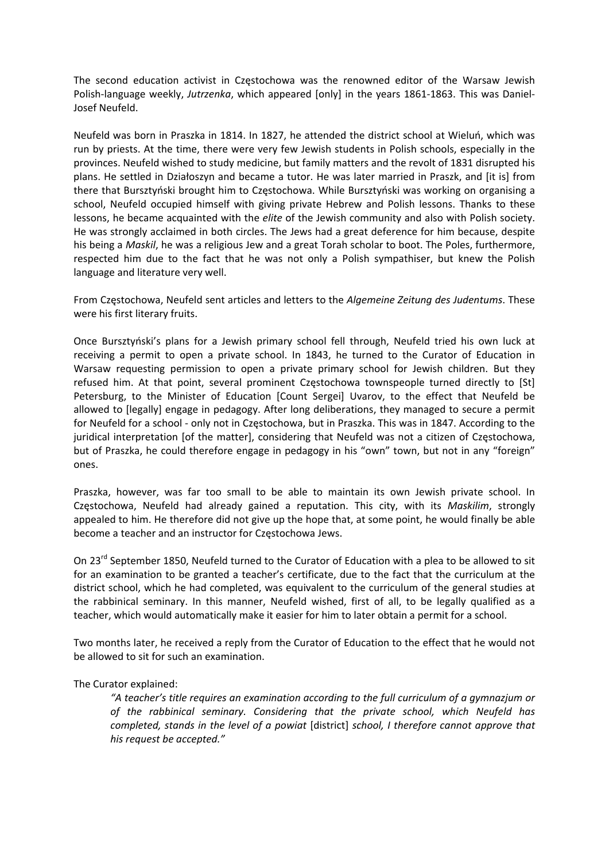The second education activist in Częstochowa was the renowned editor of the Warsaw Jewish Polish-language weekly, Jutrzenka, which appeared [only] in the years 1861-1863. This was Daniel-Josef Neufeld.

Neufeld was born in Praszka in 1814. In 1827, he attended the district school at Wieluń, which was run by priests. At the time, there were very few Jewish students in Polish schools, especially in the provinces. Neufeld wished to study medicine, but family matters and the revolt of 1831 disrupted his plans. He settled in Działoszyn and became a tutor. He was later married in Praszk, and [it is] from there that Bursztyński brought him to Częstochowa. While Bursztyński was working on organising a school, Neufeld occupied himself with giving private Hebrew and Polish lessons. Thanks to these lessons, he became acquainted with the *elite* of the Jewish community and also with Polish society. He was strongly acclaimed in both circles. The Jews had a great deference for him because, despite his being a *Maskil*, he was a religious Jew and a great Torah scholar to boot. The Poles, furthermore, respected him due to the fact that he was not only a Polish sympathiser, but knew the Polish language and literature very well.

From Częstochowa, Neufeld sent articles and letters to the *Algemeine Zeitung des Judentums*. These were his first literary fruits.

Once Bursztyński's plans for a Jewish primary school fell through, Neufeld tried his own luck at receiving a permit to open a private school. In 1843, he turned to the Curator of Education in Warsaw requesting permission to open a private primary school for Jewish children. But they refused him. At that point, several prominent Częstochowa townspeople turned directly to [St] Petersburg, to the Minister of Education [Count Sergei] Uvarov, to the effect that Neufeld be allowed to [legally] engage in pedagogy. After long deliberations, they managed to secure a permit for Neufeld for a school ‐ only not in Częstochowa, but in Praszka. This was in 1847. According to the juridical interpretation [of the matter], considering that Neufeld was not a citizen of Częstochowa, but of Praszka, he could therefore engage in pedagogy in his "own" town, but not in any "foreign" ones.

Praszka, however, was far too small to be able to maintain its own Jewish private school. In Częstochowa, Neufeld had already gained a reputation. This city, with its *Maskilim*, strongly appealed to him. He therefore did not give up the hope that, at some point, he would finally be able become a teacher and an instructor for Częstochowa Jews.

On 23<sup>rd</sup> September 1850, Neufeld turned to the Curator of Education with a plea to be allowed to sit for an examination to be granted a teacher's certificate, due to the fact that the curriculum at the district school, which he had completed, was equivalent to the curriculum of the general studies at the rabbinical seminary. In this manner, Neufeld wished, first of all, to be legally qualified as a teacher, which would automatically make it easier for him to later obtain a permit for a school.

Two months later, he received a reply from the Curator of Education to the effect that he would not be allowed to sit for such an examination.

The Curator explained:

*"A teacher's title requires an examination according to the full curriculum of a gymnazjum or of the rabbinical seminary. Considering that the private school, which Neufeld has completed, stands in the level of a powiat* [district] *school, I therefore cannot approve that his request be accepted."*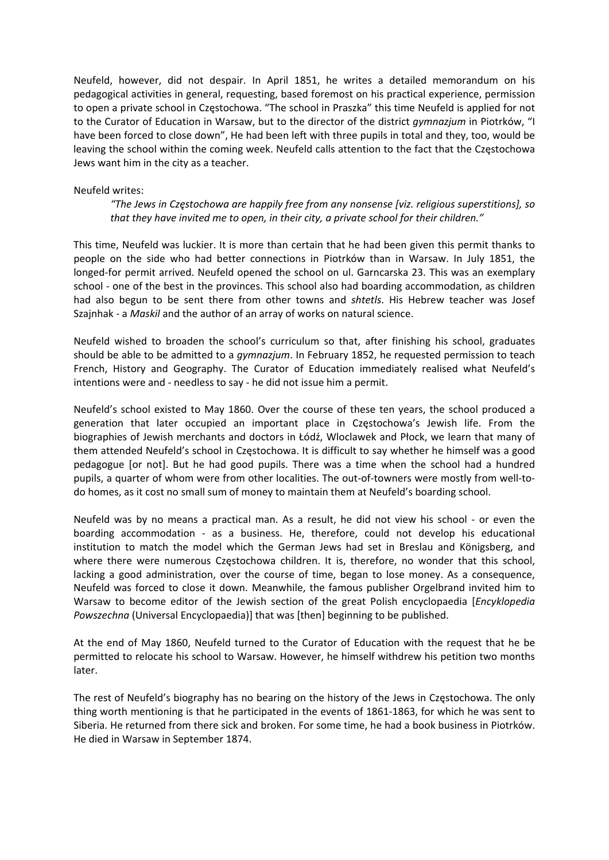Neufeld, however, did not despair. In April 1851, he writes a detailed memorandum on his pedagogical activities in general, requesting, based foremost on his practical experience, permission to open a private school in Częstochowa. "The school in Praszka" this time Neufeld is applied for not to the Curator of Education in Warsaw, but to the director of the district *gymnazjum* in Piotrków, "I have been forced to close down", He had been left with three pupils in total and they, too, would be leaving the school within the coming week. Neufeld calls attention to the fact that the Częstochowa Jews want him in the city as a teacher.

#### Neufeld writes:

*"The Jews in Częstochowa are happily free from any nonsense [viz. religious superstitions], so that they have invited me to open, in their city, a private school for their children."* 

This time, Neufeld was luckier. It is more than certain that he had been given this permit thanks to people on the side who had better connections in Piotrków than in Warsaw. In July 1851, the longed-for permit arrived. Neufeld opened the school on ul. Garncarska 23. This was an exemplary school - one of the best in the provinces. This school also had boarding accommodation, as children had also begun to be sent there from other towns and *shtetls*. His Hebrew teacher was Josef Szajnhak ‐ a *Maskil* and the author of an array of works on natural science.

Neufeld wished to broaden the school's curriculum so that, after finishing his school, graduates should be able to be admitted to a *gymnazjum*. In February 1852, he requested permission to teach French, History and Geography. The Curator of Education immediately realised what Neufeld's intentions were and ‐ needless to say ‐ he did not issue him a permit.

Neufeld's school existed to May 1860. Over the course of these ten years, the school produced a generation that later occupied an important place in Częstochowa's Jewish life. From the biographies of Jewish merchants and doctors in Łódź, Wloclawek and Płock, we learn that many of them attended Neufeld's school in Częstochowa. It is difficult to say whether he himself was a good pedagogue [or not]. But he had good pupils. There was a time when the school had a hundred pupils, a quarter of whom were from other localities. The out-of-towners were mostly from well-todo homes, as it cost no small sum of money to maintain them at Neufeld's boarding school.

Neufeld was by no means a practical man. As a result, he did not view his school - or even the boarding accommodation - as a business. He, therefore, could not develop his educational institution to match the model which the German Jews had set in Breslau and Königsberg, and where there were numerous Częstochowa children. It is, therefore, no wonder that this school, lacking a good administration, over the course of time, began to lose money. As a consequence, Neufeld was forced to close it down. Meanwhile, the famous publisher Orgelbrand invited him to Warsaw to become editor of the Jewish section of the great Polish encyclopaedia [*Encyklopedia Powszechna* (Universal Encyclopaedia)] that was [then] beginning to be published.

At the end of May 1860, Neufeld turned to the Curator of Education with the request that he be permitted to relocate his school to Warsaw. However, he himself withdrew his petition two months later.

The rest of Neufeld's biography has no bearing on the history of the Jews in Częstochowa. The only thing worth mentioning is that he participated in the events of 1861-1863, for which he was sent to Siberia. He returned from there sick and broken. For some time, he had a book business in Piotrków. He died in Warsaw in September 1874.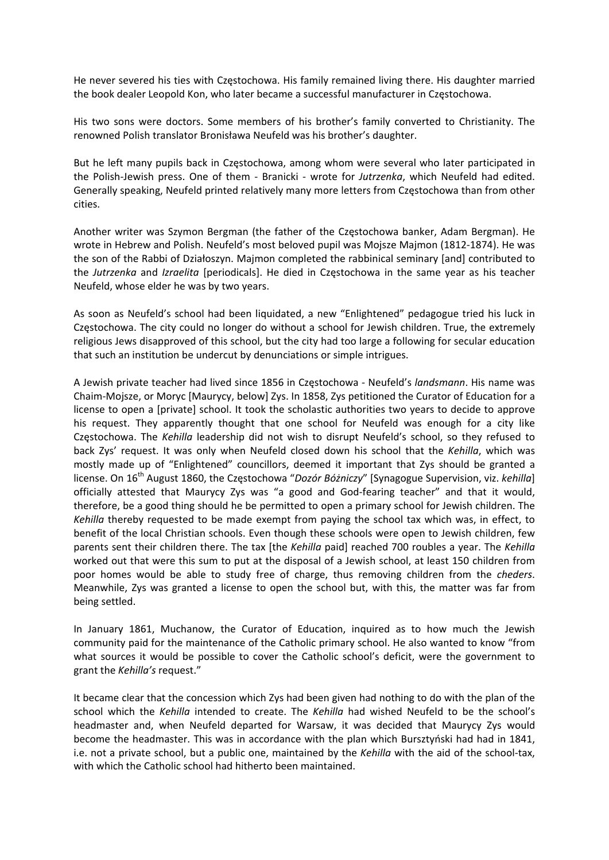He never severed his ties with Częstochowa. His family remained living there. His daughter married the book dealer Leopold Kon, who later became a successful manufacturer in Częstochowa.

His two sons were doctors. Some members of his brother's family converted to Christianity. The renowned Polish translator Bronisława Neufeld was his brother's daughter.

But he left many pupils back in Częstochowa, among whom were several who later participated in the Polish‐Jewish press. One of them ‐ Branicki ‐ wrote for *Jutrzenka*, which Neufeld had edited. Generally speaking, Neufeld printed relatively many more letters from Częstochowa than from other cities.

Another writer was Szymon Bergman (the father of the Częstochowa banker, Adam Bergman). He wrote in Hebrew and Polish. Neufeld's most beloved pupil was Mojsze Majmon (1812‐1874). He was the son of the Rabbi of Działoszyn. Majmon completed the rabbinical seminary [and] contributed to the *Jutrzenka* and *Izraelita* [periodicals]. He died in Częstochowa in the same year as his teacher Neufeld, whose elder he was by two years.

As soon as Neufeld's school had been liquidated, a new "Enlightened" pedagogue tried his luck in Częstochowa. The city could no longer do without a school for Jewish children. True, the extremely religious Jews disapproved of this school, but the city had too large a following for secular education that such an institution be undercut by denunciations or simple intrigues.

A Jewish private teacher had lived since 1856 in Częstochowa ‐ Neufeld's *landsmann*. His name was Chaim‐Mojsze, or Moryc [Maurycy, below] Zys. In 1858, Zys petitioned the Curator of Education for a license to open a [private] school. It took the scholastic authorities two years to decide to approve his request. They apparently thought that one school for Neufeld was enough for a city like Częstochowa. The *Kehilla* leadership did not wish to disrupt Neufeld's school, so they refused to back Zys' request. It was only when Neufeld closed down his school that the *Kehilla*, which was mostly made up of "Enlightened" councillors, deemed it important that Zys should be granted a license. On 16th August 1860, the Częstochowa "*Dozór Bóżniczy*" [Synagogue Supervision, viz. *kehilla*] officially attested that Maurycy Zys was "a good and God-fearing teacher" and that it would, therefore, be a good thing should he be permitted to open a primary school for Jewish children. The *Kehilla* thereby requested to be made exempt from paying the school tax which was, in effect, to benefit of the local Christian schools. Even though these schools were open to Jewish children, few parents sent their children there. The tax [the *Kehilla* paid] reached 700 roubles a year. The *Kehilla* worked out that were this sum to put at the disposal of a Jewish school, at least 150 children from poor homes would be able to study free of charge, thus removing children from the *cheders*. Meanwhile, Zys was granted a license to open the school but, with this, the matter was far from being settled.

In January 1861, Muchanow, the Curator of Education, inquired as to how much the Jewish community paid for the maintenance of the Catholic primary school. He also wanted to know "from what sources it would be possible to cover the Catholic school's deficit, were the government to grant the *Kehilla's* request."

It became clear that the concession which Zys had been given had nothing to do with the plan of the school which the *Kehilla* intended to create. The *Kehilla* had wished Neufeld to be the school's headmaster and, when Neufeld departed for Warsaw, it was decided that Maurycy Zys would become the headmaster. This was in accordance with the plan which Bursztyński had had in 1841, i.e. not a private school, but a public one, maintained by the *Kehilla* with the aid of the school-tax, with which the Catholic school had hitherto been maintained.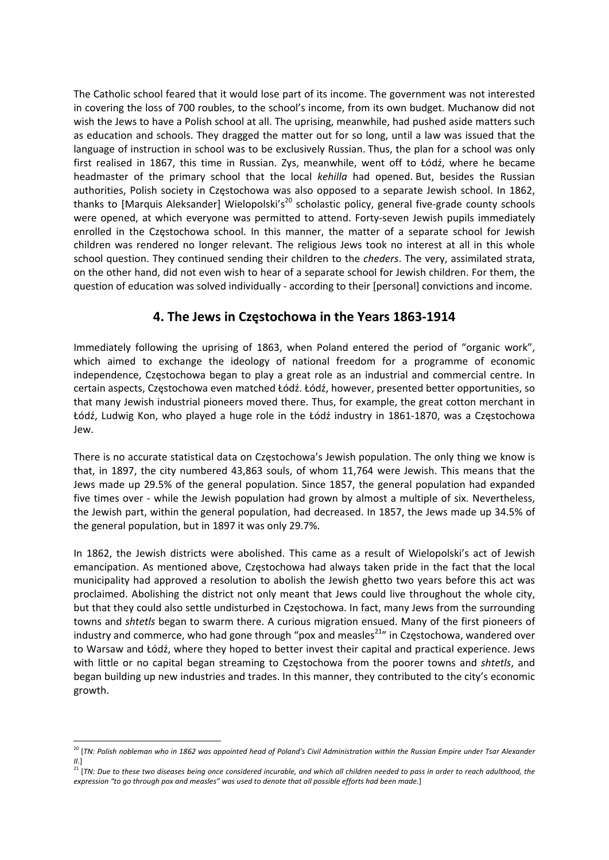The Catholic school feared that it would lose part of its income. The government was not interested in covering the loss of 700 roubles, to the school's income, from its own budget. Muchanow did not wish the Jews to have a Polish school at all. The uprising, meanwhile, had pushed aside matters such as education and schools. They dragged the matter out for so long, until a law was issued that the language of instruction in school was to be exclusively Russian. Thus, the plan for a school was only first realised in 1867, this time in Russian. Zys, meanwhile, went off to Łódź, where he became headmaster of the primary school that the local *kehilla* had opened. But, besides the Russian authorities, Polish society in Częstochowa was also opposed to a separate Jewish school. In 1862, thanks to [Marquis Aleksander] Wielopolski's<sup>20</sup> scholastic policy, general five-grade county schools were opened, at which everyone was permitted to attend. Forty-seven Jewish pupils immediately enrolled in the Częstochowa school. In this manner, the matter of a separate school for Jewish children was rendered no longer relevant. The religious Jews took no interest at all in this whole school question. They continued sending their children to the *cheders*. The very, assimilated strata, on the other hand, did not even wish to hear of a separate school for Jewish children. For them, the question of education was solved individually ‐ according to their [personal] convictions and income.

## **4. The Jews in Częstochowa in the Years 1863‐1914**

Immediately following the uprising of 1863, when Poland entered the period of "organic work", which aimed to exchange the ideology of national freedom for a programme of economic independence, Częstochowa began to play a great role as an industrial and commercial centre. In certain aspects, Częstochowa even matched Łódź. Łódź, however, presented better opportunities, so that many Jewish industrial pioneers moved there. Thus, for example, the great cotton merchant in Łódź, Ludwig Kon, who played a huge role in the Łódź industry in 1861‐1870, was a Częstochowa Jew.

There is no accurate statistical data on Częstochowa's Jewish population. The only thing we know is that, in 1897, the city numbered 43,863 souls, of whom 11,764 were Jewish. This means that the Jews made up 29.5% of the general population. Since 1857, the general population had expanded five times over - while the Jewish population had grown by almost a multiple of six. Nevertheless, the Jewish part, within the general population, had decreased. In 1857, the Jews made up 34.5% of the general population, but in 1897 it was only 29.7%.

In 1862, the Jewish districts were abolished. This came as a result of Wielopolski's act of Jewish emancipation. As mentioned above, Częstochowa had always taken pride in the fact that the local municipality had approved a resolution to abolish the Jewish ghetto two years before this act was proclaimed. Abolishing the district not only meant that Jews could live throughout the whole city, but that they could also settle undisturbed in Częstochowa. In fact, many Jews from the surrounding towns and *shtetls* began to swarm there. A curious migration ensued. Many of the first pioneers of industry and commerce, who had gone through "pox and measles $^{21}$ " in Częstochowa, wandered over to Warsaw and Łódź, where they hoped to better invest their capital and practical experience. Jews with little or no capital began streaming to Częstochowa from the poorer towns and *shtetls*, and began building up new industries and trades. In this manner, they contributed to the city's economic growth.

  $^{20}$  [TN: Polish nobleman who in 1862 was appointed head of Poland's Civil Administration within the Russian Empire under Tsar Alexander *II.*]

 $^{21}$  [TN: Due to these two diseases being once considered incurable, and which all children needed to pass in order to reach adulthood, the expression "to go through pox and measles" was used to denote that all possible efforts had been made.]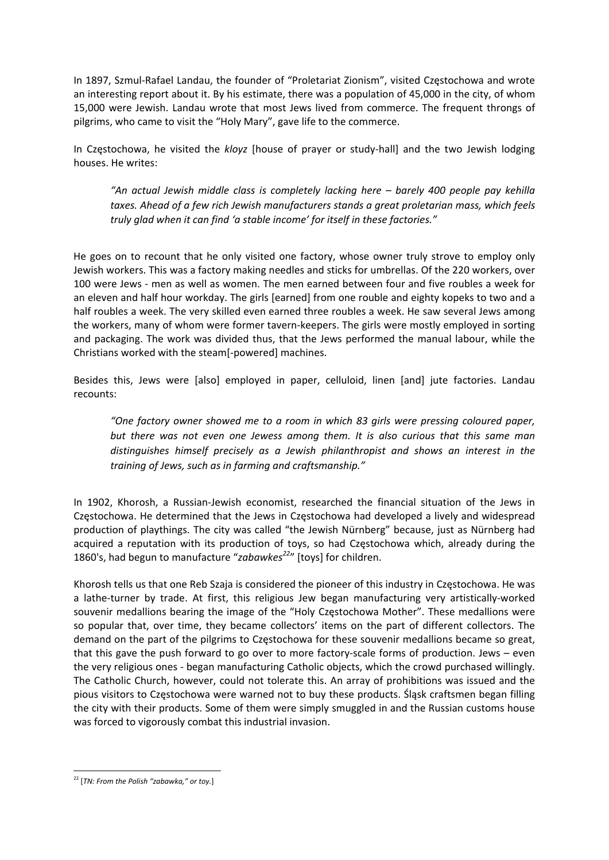In 1897, Szmul‐Rafael Landau, the founder of "Proletariat Zionism", visited Częstochowa and wrote an interesting report about it. By his estimate, there was a population of 45,000 in the city, of whom 15,000 were Jewish. Landau wrote that most Jews lived from commerce. The frequent throngs of pilgrims, who came to visit the "Holy Mary", gave life to the commerce.

In Częstochowa, he visited the *kloyz* [house of prayer or study‐hall] and the two Jewish lodging houses. He writes:

*"An actual Jewish middle class is completely lacking here – barely 400 people pay kehilla taxes. Ahead of a few rich Jewish manufacturers stands a great proletarian mass, which feels truly glad when it can find 'a stable income' for itself in these factories."*

He goes on to recount that he only visited one factory, whose owner truly strove to employ only Jewish workers. This was a factory making needles and sticks for umbrellas. Of the 220 workers, over 100 were Jews ‐ men as well as women. The men earned between four and five roubles a week for an eleven and half hour workday. The girls [earned] from one rouble and eighty kopeks to two and a half roubles a week. The very skilled even earned three roubles a week. He saw several Jews among the workers, many of whom were former tavern‐keepers. The girls were mostly employed in sorting and packaging. The work was divided thus, that the Jews performed the manual labour, while the Christians worked with the steam[‐powered] machines.

Besides this, Jews were [also] employed in paper, celluloid, linen [and] jute factories. Landau recounts:

*"One factory owner showed me to a room in which 83 girls were pressing coloured paper, but there was not even one Jewess among them. It is also curious that this same man distinguishes himself precisely as a Jewish philanthropist and shows an interest in the training of Jews, such as in farming and craftsmanship."*

In 1902, Khorosh, a Russian-Jewish economist, researched the financial situation of the Jews in Częstochowa. He determined that the Jews in Częstochowa had developed a lively and widespread production of playthings. The city was called "the Jewish Nürnberg" because, just as Nürnberg had acquired a reputation with its production of toys, so had Częstochowa which, already during the 1860's, had begun to manufacture "*zabawkes<sup>22</sup>*" [toys] for children.

Khorosh tells us that one Reb Szaja is considered the pioneer of this industry in Częstochowa. He was a lathe‐turner by trade. At first, this religious Jew began manufacturing very artistically‐worked souvenir medallions bearing the image of the "Holy Częstochowa Mother". These medallions were so popular that, over time, they became collectors' items on the part of different collectors. The demand on the part of the pilgrims to Częstochowa for these souvenir medallions became so great, that this gave the push forward to go over to more factory-scale forms of production. Jews – even the very religious ones ‐ began manufacturing Catholic objects, which the crowd purchased willingly. The Catholic Church, however, could not tolerate this. An array of prohibitions was issued and the pious visitors to Częstochowa were warned not to buy these products. Śląsk craftsmen began filling the city with their products. Some of them were simply smuggled in and the Russian customs house was forced to vigorously combat this industrial invasion.

 <sup>22</sup> [*TN: From the Polish "zabawka," or toy.*]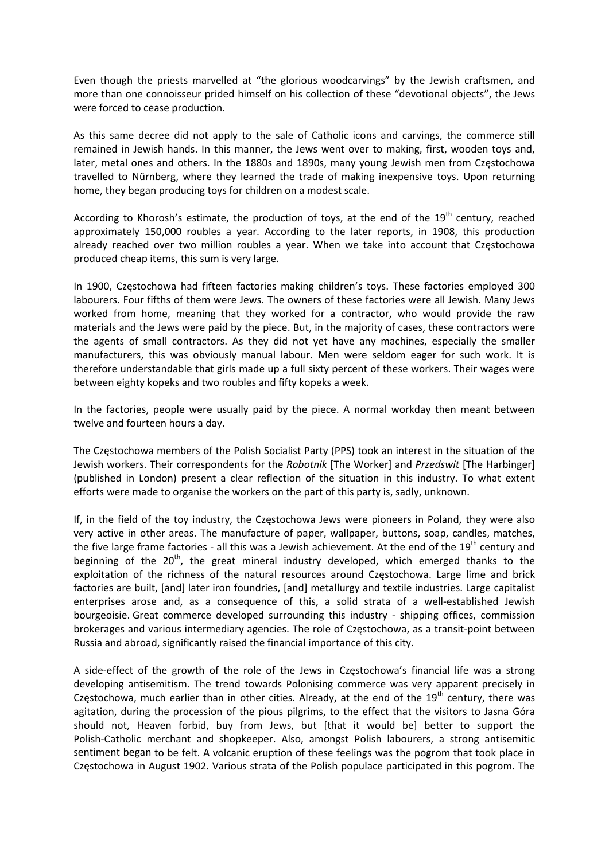Even though the priests marvelled at "the glorious woodcarvings" by the Jewish craftsmen, and more than one connoisseur prided himself on his collection of these "devotional objects", the Jews were forced to cease production.

As this same decree did not apply to the sale of Catholic icons and carvings, the commerce still remained in Jewish hands. In this manner, the Jews went over to making, first, wooden toys and, later, metal ones and others. In the 1880s and 1890s, many young Jewish men from Częstochowa travelled to Nürnberg, where they learned the trade of making inexpensive toys. Upon returning home, they began producing toys for children on a modest scale.

According to Khorosh's estimate, the production of toys, at the end of the  $19<sup>th</sup>$  century, reached approximately 150,000 roubles a year. According to the later reports, in 1908, this production already reached over two million roubles a year. When we take into account that Częstochowa produced cheap items, this sum is very large.

In 1900, Częstochowa had fifteen factories making children's toys. These factories employed 300 labourers. Four fifths of them were Jews. The owners of these factories were all Jewish. Many Jews worked from home, meaning that they worked for a contractor, who would provide the raw materials and the Jews were paid by the piece. But, in the majority of cases, these contractors were the agents of small contractors. As they did not yet have any machines, especially the smaller manufacturers, this was obviously manual labour. Men were seldom eager for such work. It is therefore understandable that girls made up a full sixty percent of these workers. Their wages were between eighty kopeks and two roubles and fifty kopeks a week.

In the factories, people were usually paid by the piece. A normal workday then meant between twelve and fourteen hours a day.

The Częstochowa members of the Polish Socialist Party (PPS) took an interest in the situation of the Jewish workers. Their correspondents for the *Robotnik* [The Worker] and *Przedswit* [The Harbinger] (published in London) present a clear reflection of the situation in this industry. To what extent efforts were made to organise the workers on the part of this party is, sadly, unknown.

If, in the field of the toy industry, the Częstochowa Jews were pioneers in Poland, they were also very active in other areas. The manufacture of paper, wallpaper, buttons, soap, candles, matches, the five large frame factories - all this was a Jewish achievement. At the end of the  $19<sup>th</sup>$  century and beginning of the  $20<sup>th</sup>$ , the great mineral industry developed, which emerged thanks to the exploitation of the richness of the natural resources around Częstochowa. Large lime and brick factories are built, [and] later iron foundries, [and] metallurgy and textile industries. Large capitalist enterprises arose and, as a consequence of this, a solid strata of a well-established Jewish bourgeoisie. Great commerce developed surrounding this industry - shipping offices, commission brokerages and various intermediary agencies. The role of Częstochowa, as a transit‐point between Russia and abroad, significantly raised the financial importance of this city.

A side‐effect of the growth of the role of the Jews in Częstochowa's financial life was a strong developing antisemitism. The trend towards Polonising commerce was very apparent precisely in Częstochowa, much earlier than in other cities. Already, at the end of the  $19<sup>th</sup>$  century, there was agitation, during the procession of the pious pilgrims, to the effect that the visitors to Jasna Góra should not, Heaven forbid, buy from Jews, but [that it would be] better to support the Polish‐Catholic merchant and shopkeeper. Also, amongst Polish labourers, a strong antisemitic sentiment began to be felt. A volcanic eruption of these feelings was the pogrom that took place in Częstochowa in August 1902. Various strata of the Polish populace participated in this pogrom. The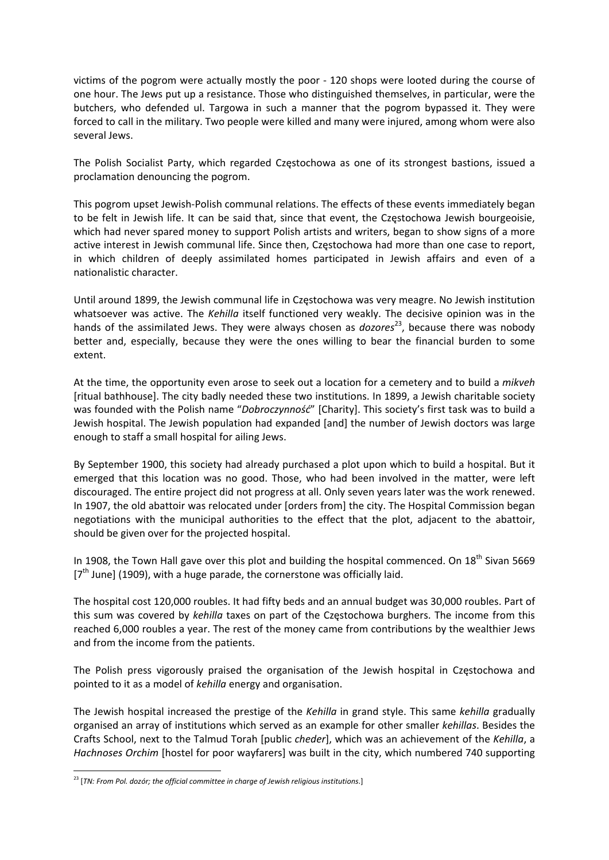victims of the pogrom were actually mostly the poor ‐ 120 shops were looted during the course of one hour. The Jews put up a resistance. Those who distinguished themselves, in particular, were the butchers, who defended ul. Targowa in such a manner that the pogrom bypassed it. They were forced to call in the military. Two people were killed and many were injured, among whom were also several Jews.

The Polish Socialist Party, which regarded Częstochowa as one of its strongest bastions, issued a proclamation denouncing the pogrom.

This pogrom upset Jewish‐Polish communal relations. The effects of these events immediately began to be felt in Jewish life. It can be said that, since that event, the Częstochowa Jewish bourgeoisie, which had never spared money to support Polish artists and writers, began to show signs of a more active interest in Jewish communal life. Since then, Częstochowa had more than one case to report, in which children of deeply assimilated homes participated in Jewish affairs and even of a nationalistic character.

Until around 1899, the Jewish communal life in Częstochowa was very meagre. No Jewish institution whatsoever was active. The *Kehilla* itself functioned very weakly. The decisive opinion was in the hands of the assimilated Jews. They were always chosen as *dozores*<sup>23</sup>, because there was nobody better and, especially, because they were the ones willing to bear the financial burden to some extent.

At the time, the opportunity even arose to seek out a location for a cemetery and to build a *mikveh* [ritual bathhouse]. The city badly needed these two institutions. In 1899, a Jewish charitable society was founded with the Polish name "*Dobroczynność*" [Charity]. This society's first task was to build a Jewish hospital. The Jewish population had expanded [and] the number of Jewish doctors was large enough to staff a small hospital for ailing Jews.

By September 1900, this society had already purchased a plot upon which to build a hospital. But it emerged that this location was no good. Those, who had been involved in the matter, were left discouraged. The entire project did not progress at all. Only seven years later was the work renewed. In 1907, the old abattoir was relocated under [orders from] the city. The Hospital Commission began negotiations with the municipal authorities to the effect that the plot, adjacent to the abattoir, should be given over for the projected hospital.

In 1908, the Town Hall gave over this plot and building the hospital commenced. On 18<sup>th</sup> Sivan 5669 [7<sup>th</sup> June] (1909), with a huge parade, the cornerstone was officially laid.

The hospital cost 120,000 roubles. It had fifty beds and an annual budget was 30,000 roubles. Part of this sum was covered by *kehilla* taxes on part of the Częstochowa burghers. The income from this reached 6,000 roubles a year. The rest of the money came from contributions by the wealthier Jews and from the income from the patients.

The Polish press vigorously praised the organisation of the Jewish hospital in Częstochowa and pointed to it as a model of *kehilla* energy and organisation.

The Jewish hospital increased the prestige of the *Kehilla* in grand style. This same *kehilla* gradually organised an array of institutions which served as an example for other smaller *kehillas*. Besides the Crafts School, next to the Talmud Torah [public *cheder*], which was an achievement of the *Kehilla*, a *Hachnoses Orchim* [hostel for poor wayfarers] was built in the city, which numbered 740 supporting

 <sup>23</sup> [*TN: From Pol. dozór; the official committee in charge of Jewish religious institutions*.]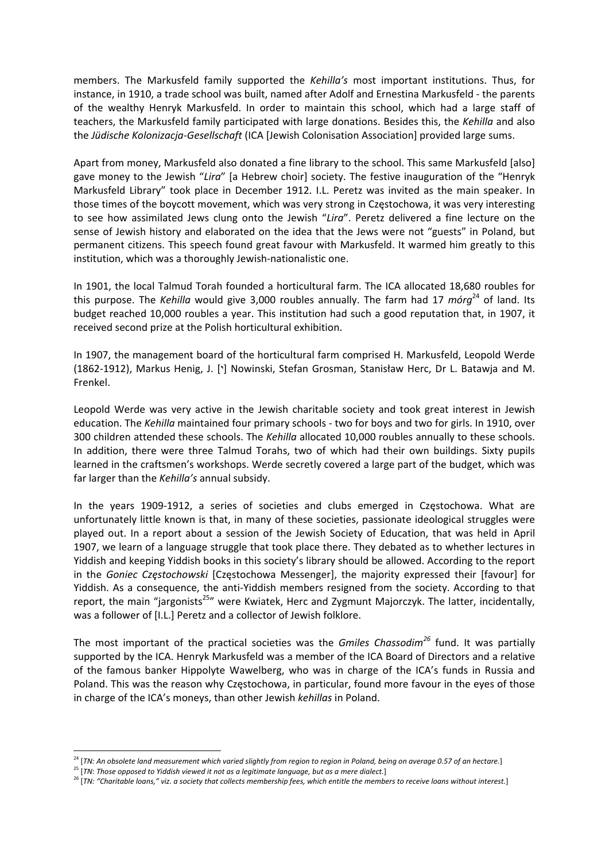members. The Markusfeld family supported the *Kehilla's* most important institutions. Thus, for instance, in 1910, a trade school was built, named after Adolf and Ernestina Markusfeld ‐ the parents of the wealthy Henryk Markusfeld. In order to maintain this school, which had a large staff of teachers, the Markusfeld family participated with large donations. Besides this, the *Kehilla* and also the *Jüdische Kolonizacja‐Gesellschaft* (ICA [Jewish Colonisation Association] provided large sums.

Apart from money, Markusfeld also donated a fine library to the school. This same Markusfeld [also] gave money to the Jewish "*Lira*" [a Hebrew choir] society. The festive inauguration of the "Henryk Markusfeld Library" took place in December 1912. I.L. Peretz was invited as the main speaker. In those times of the boycott movement, which was very strong in Częstochowa, it was very interesting to see how assimilated Jews clung onto the Jewish "*Lira*". Peretz delivered a fine lecture on the sense of Jewish history and elaborated on the idea that the Jews were not "guests" in Poland, but permanent citizens. This speech found great favour with Markusfeld. It warmed him greatly to this institution, which was a thoroughly Jewish‐nationalistic one.

In 1901, the local Talmud Torah founded a horticultural farm. The ICA allocated 18,680 roubles for this purpose. The *Kehilla* would give 3,000 roubles annually. The farm had 17 *mórg*<sup>24</sup> of land. Its budget reached 10,000 roubles a year. This institution had such a good reputation that, in 1907, it received second prize at the Polish horticultural exhibition.

In 1907, the management board of the horticultural farm comprised H. Markusfeld, Leopold Werde (1862-1912), Markus Henig, J. ['] Nowinski, Stefan Grosman, Stanisław Herc, Dr L. Batawja and M. Frenkel.

Leopold Werde was very active in the Jewish charitable society and took great interest in Jewish education. The *Kehilla* maintained four primary schools ‐ two for boys and two for girls. In 1910, over 300 children attended these schools. The *Kehilla* allocated 10,000 roubles annually to these schools. In addition, there were three Talmud Torahs, two of which had their own buildings. Sixty pupils learned in the craftsmen's workshops. Werde secretly covered a large part of the budget, which was far larger than the *Kehilla's* annual subsidy.

In the years 1909‐1912, a series of societies and clubs emerged in Częstochowa. What are unfortunately little known is that, in many of these societies, passionate ideological struggles were played out. In a report about a session of the Jewish Society of Education, that was held in April 1907, we learn of a language struggle that took place there. They debated as to whether lectures in Yiddish and keeping Yiddish books in this society's library should be allowed. According to the report in the *Goniec Częstochowski* [Częstochowa Messenger], the majority expressed their [favour] for Yiddish. As a consequence, the anti‐Yiddish members resigned from the society. According to that report, the main "jargonists<sup>25</sup>" were Kwiatek, Herc and Zygmunt Majorczyk. The latter, incidentally, was a follower of [I.L.] Peretz and a collector of Jewish folklore.

The most important of the practical societies was the *Gmiles Chassodim<sup>26</sup>* fund. It was partially supported by the ICA. Henryk Markusfeld was a member of the ICA Board of Directors and a relative of the famous banker Hippolyte Wawelberg, who was in charge of the ICA's funds in Russia and Poland. This was the reason why Częstochowa, in particular, found more favour in the eyes of those in charge of the ICA's moneys, than other Jewish *kehillas* in Poland.

 $^{24}$  [TN: An obsolete land measurement which varied slightly from region to region in Poland, being on average 0.57 of an hectare.]

<sup>25</sup> [*TN: Those opposed to Yiddish viewed it not as a legitimate language, but as a mere dialect.*]

<sup>&</sup>lt;sup>26</sup> [TN: "Charitable loans," viz. a society that collects membership fees, which entitle the members to receive loans without interest.]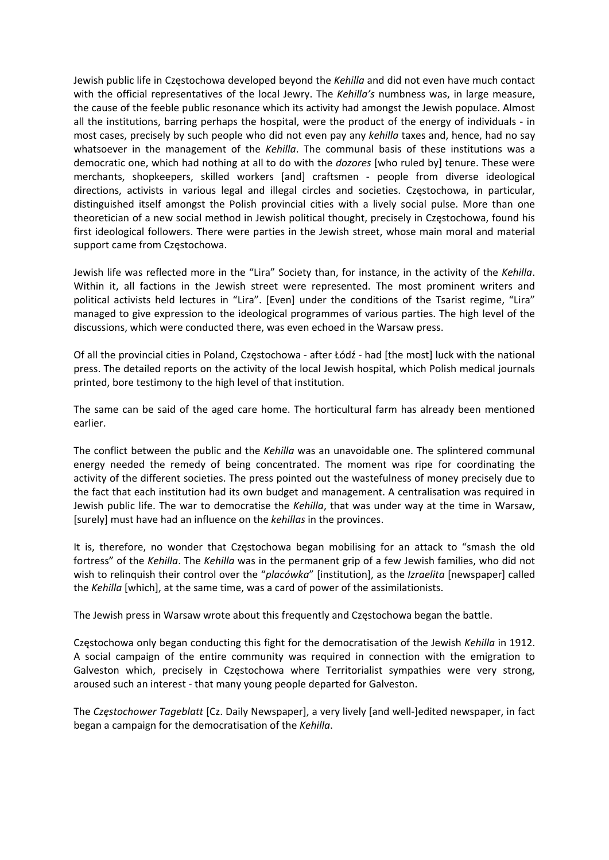Jewish public life in Częstochowa developed beyond the *Kehilla* and did not even have much contact with the official representatives of the local Jewry. The *Kehilla's* numbness was, in large measure, the cause of the feeble public resonance which its activity had amongst the Jewish populace. Almost all the institutions, barring perhaps the hospital, were the product of the energy of individuals ‐ in most cases, precisely by such people who did not even pay any *kehilla* taxes and, hence, had no say whatsoever in the management of the *Kehilla*. The communal basis of these institutions was a democratic one, which had nothing at all to do with the *dozores* [who ruled by] tenure. These were merchants, shopkeepers, skilled workers [and] craftsmen ‐ people from diverse ideological directions, activists in various legal and illegal circles and societies. Częstochowa, in particular, distinguished itself amongst the Polish provincial cities with a lively social pulse. More than one theoretician of a new social method in Jewish political thought, precisely in Częstochowa, found his first ideological followers. There were parties in the Jewish street, whose main moral and material support came from Częstochowa.

Jewish life was reflected more in the "Lira" Society than, for instance, in the activity of the *Kehilla*. Within it, all factions in the Jewish street were represented. The most prominent writers and political activists held lectures in "Lira". [Even] under the conditions of the Tsarist regime, "Lira" managed to give expression to the ideological programmes of various parties. The high level of the discussions, which were conducted there, was even echoed in the Warsaw press.

Of all the provincial cities in Poland, Częstochowa ‐ after Łódź ‐ had [the most] luck with the national press. The detailed reports on the activity of the local Jewish hospital, which Polish medical journals printed, bore testimony to the high level of that institution.

The same can be said of the aged care home. The horticultural farm has already been mentioned earlier.

The conflict between the public and the *Kehilla* was an unavoidable one. The splintered communal energy needed the remedy of being concentrated. The moment was ripe for coordinating the activity of the different societies. The press pointed out the wastefulness of money precisely due to the fact that each institution had its own budget and management. A centralisation was required in Jewish public life. The war to democratise the *Kehilla*, that was under way at the time in Warsaw, [surely] must have had an influence on the *kehillas* in the provinces.

It is, therefore, no wonder that Częstochowa began mobilising for an attack to "smash the old fortress" of the *Kehilla*. The *Kehilla* was in the permanent grip of a few Jewish families, who did not wish to relinquish their control over the "*placówka*" [institution], as the *Izraelita* [newspaper] called the *Kehilla* [which], at the same time, was a card of power of the assimilationists.

The Jewish press in Warsaw wrote about this frequently and Częstochowa began the battle.

Częstochowa only began conducting this fight for the democratisation of the Jewish *Kehilla* in 1912. A social campaign of the entire community was required in connection with the emigration to Galveston which, precisely in Częstochowa where Territorialist sympathies were very strong, aroused such an interest ‐ that many young people departed for Galveston.

The *Częstochower Tageblatt* [Cz. Daily Newspaper], a very lively [and well‐]edited newspaper, in fact began a campaign for the democratisation of the *Kehilla*.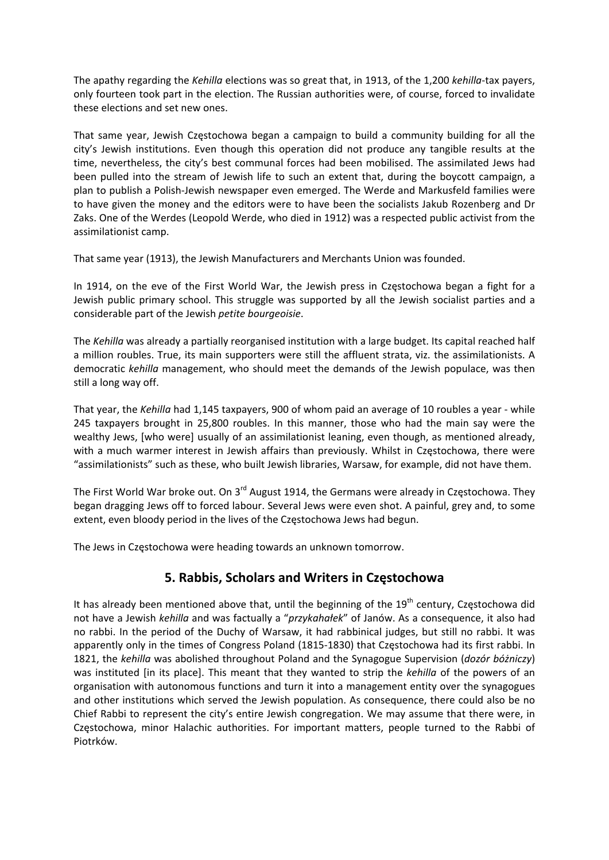The apathy regarding the *Kehilla* elections was so great that, in 1913, of the 1,200 *kehilla*‐tax payers, only fourteen took part in the election. The Russian authorities were, of course, forced to invalidate these elections and set new ones.

That same year, Jewish Częstochowa began a campaign to build a community building for all the city's Jewish institutions. Even though this operation did not produce any tangible results at the time, nevertheless, the city's best communal forces had been mobilised. The assimilated Jews had been pulled into the stream of Jewish life to such an extent that, during the boycott campaign, a plan to publish a Polish‐Jewish newspaper even emerged. The Werde and Markusfeld families were to have given the money and the editors were to have been the socialists Jakub Rozenberg and Dr Zaks. One of the Werdes (Leopold Werde, who died in 1912) was a respected public activist from the assimilationist camp.

That same year (1913), the Jewish Manufacturers and Merchants Union was founded.

In 1914, on the eve of the First World War, the Jewish press in Częstochowa began a fight for a Jewish public primary school. This struggle was supported by all the Jewish socialist parties and a considerable part of the Jewish *petite bourgeoisie*.

The *Kehilla* was already a partially reorganised institution with a large budget. Its capital reached half a million roubles. True, its main supporters were still the affluent strata, viz. the assimilationists. A democratic *kehilla* management, who should meet the demands of the Jewish populace, was then still a long way off.

That year, the *Kehilla* had 1,145 taxpayers, 900 of whom paid an average of 10 roubles a year ‐ while 245 taxpayers brought in 25,800 roubles. In this manner, those who had the main say were the wealthy Jews, [who were] usually of an assimilationist leaning, even though, as mentioned already, with a much warmer interest in Jewish affairs than previously. Whilst in Częstochowa, there were "assimilationists" such as these, who built Jewish libraries, Warsaw, for example, did not have them.

The First World War broke out. On 3<sup>rd</sup> August 1914, the Germans were already in Częstochowa. They began dragging Jews off to forced labour. Several Jews were even shot. A painful, grey and, to some extent, even bloody period in the lives of the Częstochowa Jews had begun.

The Jews in Częstochowa were heading towards an unknown tomorrow.

## **5. Rabbis, Scholars and Writers in Częstochowa**

It has already been mentioned above that, until the beginning of the  $19<sup>th</sup>$  century, Częstochowa did not have a Jewish *kehilla* and was factually a "*przykahałek*" of Janów. As a consequence, it also had no rabbi. In the period of the Duchy of Warsaw, it had rabbinical judges, but still no rabbi. It was apparently only in the times of Congress Poland (1815-1830) that Częstochowa had its first rabbi. In 1821, the *kehilla* was abolished throughout Poland and the Synagogue Supervision (*dozór bóżniczy*) was instituted [in its place]. This meant that they wanted to strip the *kehilla* of the powers of an organisation with autonomous functions and turn it into a management entity over the synagogues and other institutions which served the Jewish population. As consequence, there could also be no Chief Rabbi to represent the city's entire Jewish congregation. We may assume that there were, in Częstochowa, minor Halachic authorities. For important matters, people turned to the Rabbi of Piotrków.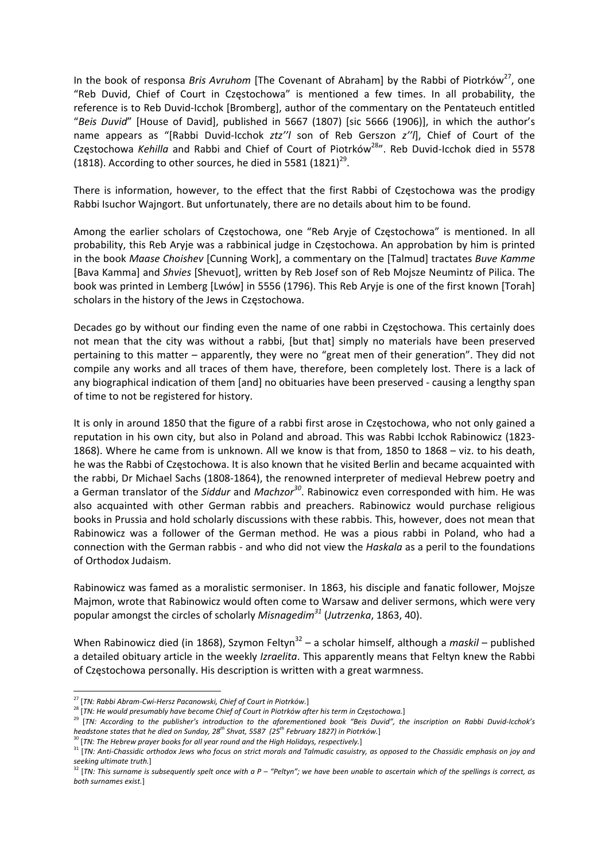In the book of responsa *Bris Avruhom* [The Covenant of Abraham] by the Rabbi of Piotrków<sup>27</sup>, one "Reb Duvid, Chief of Court in Częstochowa" is mentioned a few times. In all probability, the reference is to Reb Duvid‐Icchok [Bromberg], author of the commentary on the Pentateuch entitled "*Beis Duvid*" [House of David], published in 5667 (1807) [sic 5666 (1906)], in which the author's name appears as "[Rabbi Duvid‐Icchok *ztz''l* son of Reb Gerszon *z''l*], Chief of Court of the Częstochowa Kehilla and Rabbi and Chief of Court of Piotrków<sup>28</sup>". Reb Duvid-Icchok died in 5578 (1818). According to other sources, he died in 5581  $(1821)^{29}$ .

There is information, however, to the effect that the first Rabbi of Częstochowa was the prodigy Rabbi Isuchor Wajngort. But unfortunately, there are no details about him to be found.

Among the earlier scholars of Częstochowa, one "Reb Aryje of Częstochowa" is mentioned. In all probability, this Reb Aryje was a rabbinical judge in Częstochowa. An approbation by him is printed in the book *Maase Choishev* [Cunning Work], a commentary on the [Talmud] tractates *Buve Kamme* [Bava Kamma] and *Shvies* [Shevuot], written by Reb Josef son of Reb Mojsze Neumintz of Pilica. The book was printed in Lemberg [Lwów] in 5556 (1796). This Reb Aryje is one of the first known [Torah] scholars in the history of the Jews in Częstochowa.

Decades go by without our finding even the name of one rabbi in Częstochowa. This certainly does not mean that the city was without a rabbi, [but that] simply no materials have been preserved pertaining to this matter – apparently, they were no "great men of their generation". They did not compile any works and all traces of them have, therefore, been completely lost. There is a lack of any biographical indication of them [and] no obituaries have been preserved ‐ causing a lengthy span of time to not be registered for history.

It is only in around 1850 that the figure of a rabbi first arose in Częstochowa, who not only gained a reputation in his own city, but also in Poland and abroad. This was Rabbi Icchok Rabinowicz (1823‐ 1868). Where he came from is unknown. All we know is that from, 1850 to 1868 – viz. to his death, he was the Rabbi of Częstochowa. It is also known that he visited Berlin and became acquainted with the rabbi, Dr Michael Sachs (1808‐1864), the renowned interpreter of medieval Hebrew poetry and a German translator of the *Siddur* and *Machzor<sup>30</sup>*. Rabinowicz even corresponded with him. He was also acquainted with other German rabbis and preachers. Rabinowicz would purchase religious books in Prussia and hold scholarly discussions with these rabbis. This, however, does not mean that Rabinowicz was a follower of the German method. He was a pious rabbi in Poland, who had a connection with the German rabbis ‐ and who did not view the *Haskala* as a peril to the foundations of Orthodox Judaism.

Rabinowicz was famed as a moralistic sermoniser. In 1863, his disciple and fanatic follower, Mojsze Majmon, wrote that Rabinowicz would often come to Warsaw and deliver sermons, which were very popular amongst the circles of scholarly *Misnagedim<sup>31</sup>* (*Jutrzenka*, 1863, 40).

When Rabinowicz died (in 1868), Szymon Feltyn<sup>32</sup> – a scholar himself, although a *maskil* – published a detailed obituary article in the weekly *Izraelita*. This apparently means that Feltyn knew the Rabbi of Częstochowa personally. His description is written with a great warmness.

<sup>27</sup> [*TN: Rabbi Abram‐Cwi‐Hersz Pacanowski, Chief of Court in Piotrków.*]

<sup>&</sup>lt;sup>28</sup> [TN: He would presumably have become Chief of Court in Piotrków after his term in Częstochowa.]<br><sup>28</sup> [TN: According to the publisher's introduction to the aforementioned book "Beis Duvid", the inscription on Rabbi Duv *headstone states that he died on Sunday, 28th Shvat, 5587 (25th February 1827) in Piotrków.*]

<sup>30</sup> [*TN: The Hebrew prayer books for all year round and the High Holidays, respectively.*]

<sup>&</sup>lt;sup>31</sup> [TN: Anti-Chassidic orthodox Jews who focus on strict morals and Talmudic casuistry, as opposed to the Chassidic emphasis on joy and *seeking ultimate truth.*]

 $^{32}$  [TN: This surname is subsequently spelt once with a P – "Peltyn"; we have been unable to ascertain which of the spellings is correct, as *both surnames exist.*]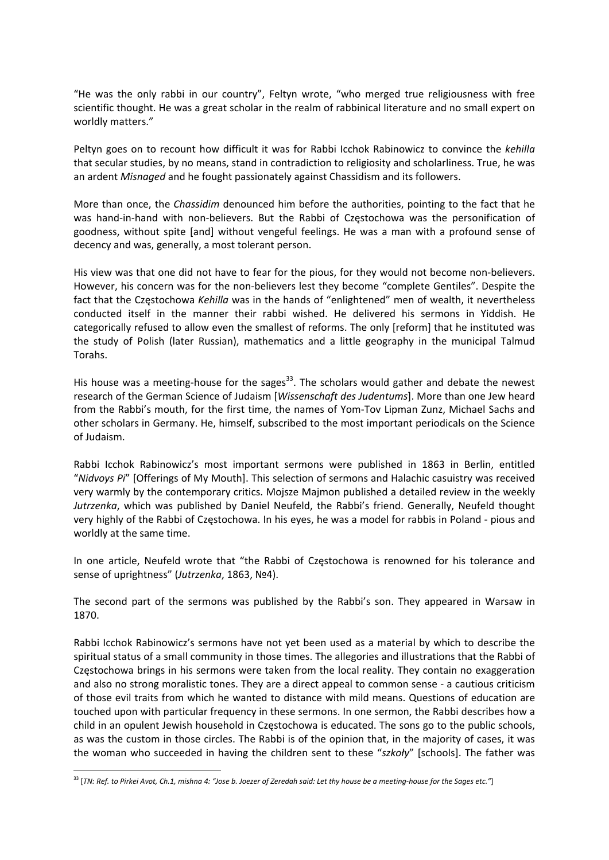"He was the only rabbi in our country", Feltyn wrote, "who merged true religiousness with free scientific thought. He was a great scholar in the realm of rabbinical literature and no small expert on worldly matters."

Peltyn goes on to recount how difficult it was for Rabbi Icchok Rabinowicz to convince the *kehilla* that secular studies, by no means, stand in contradiction to religiosity and scholarliness. True, he was an ardent *Misnaged* and he fought passionately against Chassidism and its followers.

More than once, the *Chassidim* denounced him before the authorities, pointing to the fact that he was hand-in-hand with non-believers. But the Rabbi of Częstochowa was the personification of goodness, without spite [and] without vengeful feelings. He was a man with a profound sense of decency and was, generally, a most tolerant person.

His view was that one did not have to fear for the pious, for they would not become non-believers. However, his concern was for the non-believers lest they become "complete Gentiles". Despite the fact that the Częstochowa *Kehilla* was in the hands of "enlightened" men of wealth, it nevertheless conducted itself in the manner their rabbi wished. He delivered his sermons in Yiddish. He categorically refused to allow even the smallest of reforms. The only [reform] that he instituted was the study of Polish (later Russian), mathematics and a little geography in the municipal Talmud Torahs.

His house was a meeting-house for the sages<sup>33</sup>. The scholars would gather and debate the newest research of the German Science of Judaism [*Wissenschaft des Judentums*]. More than one Jew heard from the Rabbi's mouth, for the first time, the names of Yom-Tov Lipman Zunz, Michael Sachs and other scholars in Germany. He, himself, subscribed to the most important periodicals on the Science of Judaism.

Rabbi Icchok Rabinowicz's most important sermons were published in 1863 in Berlin, entitled "*Nidvoys Pi*" [Offerings of My Mouth]. This selection of sermons and Halachic casuistry was received very warmly by the contemporary critics. Mojsze Majmon published a detailed review in the weekly *Jutrzenka*, which was published by Daniel Neufeld, the Rabbi's friend. Generally, Neufeld thought very highly of the Rabbi of Częstochowa. In his eyes, he was a model for rabbis in Poland ‐ pious and worldly at the same time.

In one article, Neufeld wrote that "the Rabbi of Częstochowa is renowned for his tolerance and sense of uprightness" (*Jutrzenka*, 1863, №4).

The second part of the sermons was published by the Rabbi's son. They appeared in Warsaw in 1870.

Rabbi Icchok Rabinowicz's sermons have not yet been used as a material by which to describe the spiritual status of a small community in those times. The allegories and illustrations that the Rabbi of Częstochowa brings in his sermons were taken from the local reality. They contain no exaggeration and also no strong moralistic tones. They are a direct appeal to common sense ‐ a cautious criticism of those evil traits from which he wanted to distance with mild means. Questions of education are touched upon with particular frequency in these sermons. In one sermon, the Rabbi describes how a child in an opulent Jewish household in Częstochowa is educated. The sons go to the public schools, as was the custom in those circles. The Rabbi is of the opinion that, in the majority of cases, it was the woman who succeeded in having the children sent to these "*szkoły*" [schools]. The father was

 $^{33}$  [TN: Ref. to Pirkei Avot, Ch.1, mishna 4: "Jose b. Joezer of Zeredah said: Let thy house be a meeting-house for the Sages etc."]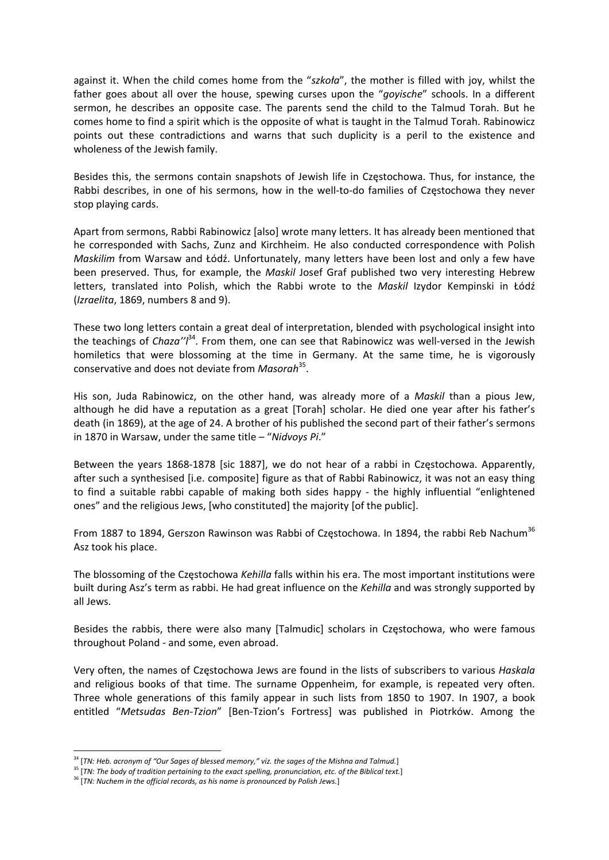against it. When the child comes home from the "*szkoła*", the mother is filled with joy, whilst the father goes about all over the house, spewing curses upon the "*goyische*" schools. In a different sermon, he describes an opposite case. The parents send the child to the Talmud Torah. But he comes home to find a spirit which is the opposite of what is taught in the Talmud Torah. Rabinowicz points out these contradictions and warns that such duplicity is a peril to the existence and wholeness of the Jewish family.

Besides this, the sermons contain snapshots of Jewish life in Częstochowa. Thus, for instance, the Rabbi describes, in one of his sermons, how in the well-to-do families of Częstochowa they never stop playing cards.

Apart from sermons, Rabbi Rabinowicz [also] wrote many letters. It has already been mentioned that he corresponded with Sachs, Zunz and Kirchheim. He also conducted correspondence with Polish *Maskilim* from Warsaw and Łódź. Unfortunately, many letters have been lost and only a few have been preserved. Thus, for example, the *Maskil* Josef Graf published two very interesting Hebrew letters, translated into Polish, which the Rabbi wrote to the *Maskil* Izydor Kempinski in Łódź (*Izraelita*, 1869, numbers 8 and 9).

These two long letters contain a great deal of interpretation, blended with psychological insight into the teachings of *Chaza"*<sup>34</sup>. From them, one can see that Rabinowicz was well-versed in the Jewish homiletics that were blossoming at the time in Germany. At the same time, he is vigorously conservative and does not deviate from *Masorah*35.

His son, Juda Rabinowicz, on the other hand, was already more of a *Maskil* than a pious Jew, although he did have a reputation as a great [Torah] scholar. He died one year after his father's death (in 1869), at the age of 24. A brother of his published the second part of their father's sermons in 1870 in Warsaw, under the same title – "*Nidvoys Pi*."

Between the years 1868-1878 [sic 1887], we do not hear of a rabbi in Czestochowa. Apparently, after such a synthesised [i.e. composite] figure as that of Rabbi Rabinowicz, it was not an easy thing to find a suitable rabbi capable of making both sides happy - the highly influential "enlightened ones" and the religious Jews, [who constituted] the majority [of the public].

From 1887 to 1894, Gerszon Rawinson was Rabbi of Częstochowa. In 1894, the rabbi Reb Nachum<sup>36</sup> Asz took his place.

The blossoming of the Częstochowa *Kehilla* falls within his era. The most important institutions were built during Asz's term as rabbi. He had great influence on the *Kehilla* and was strongly supported by all Jews.

Besides the rabbis, there were also many [Talmudic] scholars in Częstochowa, who were famous throughout Poland ‐ and some, even abroad.

Very often, the names of Częstochowa Jews are found in the lists of subscribers to various *Haskala* and religious books of that time. The surname Oppenheim, for example, is repeated very often. Three whole generations of this family appear in such lists from 1850 to 1907. In 1907, a book entitled "*Metsudas Ben‐Tzion*" [Ben‐Tzion's Fortress] was published in Piotrków. Among the

<sup>34</sup> [*TN: Heb. acronym of "Our Sages of blessed memory," viz. the sages of the Mishna and Talmud.*]

<sup>&</sup>lt;sup>35</sup> [TN: The body of tradition pertaining to the exact spelling, pronunciation, etc. of the Biblical text.]

<sup>36</sup> [*TN: Nuchem in the official records, as his name is pronounced by Polish Jews.*]